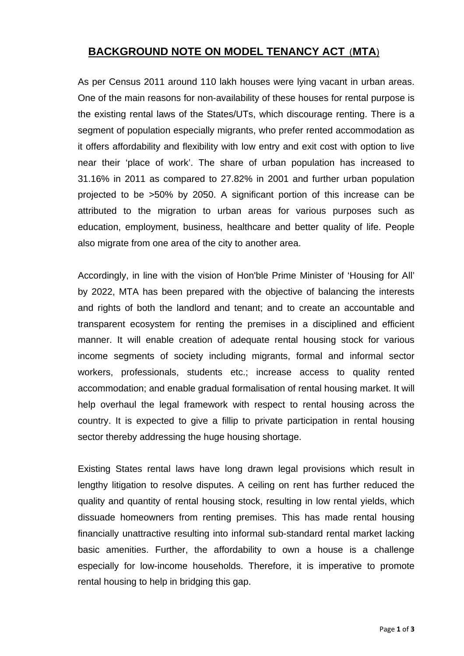### **BACKGROUND NOTE ON MODEL TENANCY ACT** (**MTA**)

As per Census 2011 around 110 lakh houses were lying vacant in urban areas. One of the main reasons for non-availability of these houses for rental purpose is the existing rental laws of the States/UTs, which discourage renting. There is a segment of population especially migrants, who prefer rented accommodation as it offers affordability and flexibility with low entry and exit cost with option to live near their 'place of work'. The share of urban population has increased to 31.16% in 2011 as compared to 27.82% in 2001 and further urban population projected to be >50% by 2050. A significant portion of this increase can be attributed to the migration to urban areas for various purposes such as education, employment, business, healthcare and better quality of life. People also migrate from one area of the city to another area.

Accordingly, in line with the vision of Hon'ble Prime Minister of 'Housing for All' by 2022, MTA has been prepared with the objective of balancing the interests and rights of both the landlord and tenant; and to create an accountable and transparent ecosystem for renting the premises in a disciplined and efficient manner. It will enable creation of adequate rental housing stock for various income segments of society including migrants, formal and informal sector workers, professionals, students etc.; increase access to quality rented accommodation; and enable gradual formalisation of rental housing market. It will help overhaul the legal framework with respect to rental housing across the country. It is expected to give a fillip to private participation in rental housing sector thereby addressing the huge housing shortage.

Existing States rental laws have long drawn legal provisions which result in lengthy litigation to resolve disputes. A ceiling on rent has further reduced the quality and quantity of rental housing stock, resulting in low rental yields, which dissuade homeowners from renting premises. This has made rental housing financially unattractive resulting into informal sub-standard rental market lacking basic amenities. Further, the affordability to own a house is a challenge especially for low-income households. Therefore, it is imperative to promote rental housing to help in bridging this gap.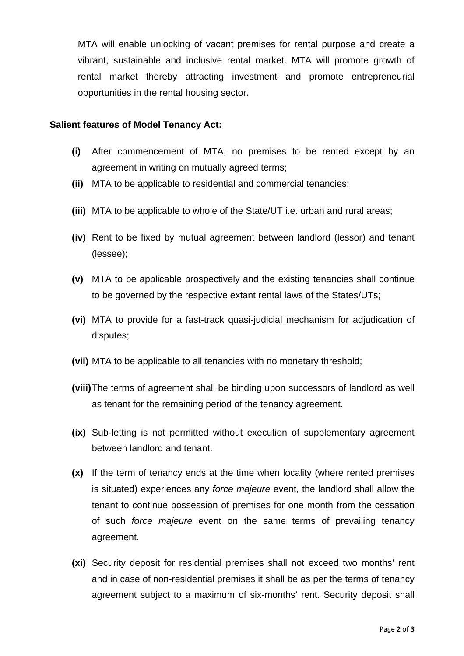MTA will enable unlocking of vacant premises for rental purpose and create a vibrant, sustainable and inclusive rental market. MTA will promote growth of rental market thereby attracting investment and promote entrepreneurial opportunities in the rental housing sector.

#### **Salient features of Model Tenancy Act:**

- **(i)** After commencement of MTA, no premises to be rented except by an agreement in writing on mutually agreed terms;
- **(ii)** MTA to be applicable to residential and commercial tenancies;
- **(iii)** MTA to be applicable to whole of the State/UT i.e. urban and rural areas;
- **(iv)** Rent to be fixed by mutual agreement between landlord (lessor) and tenant (lessee);
- **(v)** MTA to be applicable prospectively and the existing tenancies shall continue to be governed by the respective extant rental laws of the States/UTs;
- **(vi)** MTA to provide for a fast-track quasi-judicial mechanism for adjudication of disputes;
- **(vii)** MTA to be applicable to all tenancies with no monetary threshold;
- **(viii)** The terms of agreement shall be binding upon successors of landlord as well as tenant for the remaining period of the tenancy agreement.
- **(ix)** Sub-letting is not permitted without execution of supplementary agreement between landlord and tenant.
- **(x)** If the term of tenancy ends at the time when locality (where rented premises is situated) experiences any *force majeure* event, the landlord shall allow the tenant to continue possession of premises for one month from the cessation of such *force majeure* event on the same terms of prevailing tenancy agreement.
- **(xi)** Security deposit for residential premises shall not exceed two months' rent and in case of non-residential premises it shall be as per the terms of tenancy agreement subject to a maximum of six-months' rent. Security deposit shall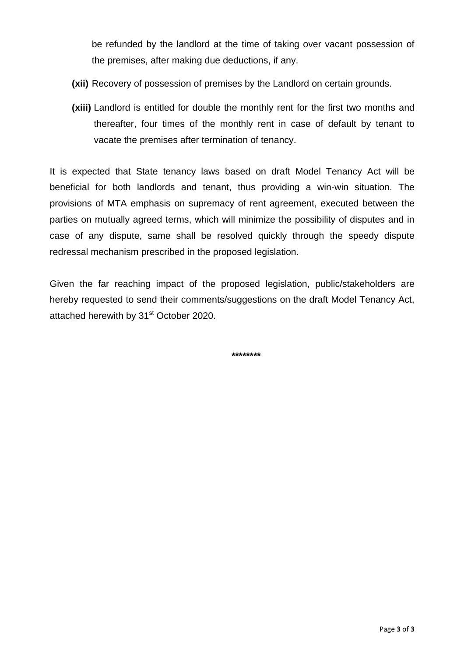be refunded by the landlord at the time of taking over vacant possession of the premises, after making due deductions, if any.

- **(xii)** Recovery of possession of premises by the Landlord on certain grounds.
- **(xiii)** Landlord is entitled for double the monthly rent for the first two months and thereafter, four times of the monthly rent in case of default by tenant to vacate the premises after termination of tenancy.

It is expected that State tenancy laws based on draft Model Tenancy Act will be beneficial for both landlords and tenant, thus providing a win-win situation. The provisions of MTA emphasis on supremacy of rent agreement, executed between the parties on mutually agreed terms, which will minimize the possibility of disputes and in case of any dispute, same shall be resolved quickly through the speedy dispute redressal mechanism prescribed in the proposed legislation.

Given the far reaching impact of the proposed legislation, public/stakeholders are hereby requested to send their comments/suggestions on the draft Model Tenancy Act, attached herewith by 31<sup>st</sup> October 2020.

**\*\*\*\*\*\*\*\***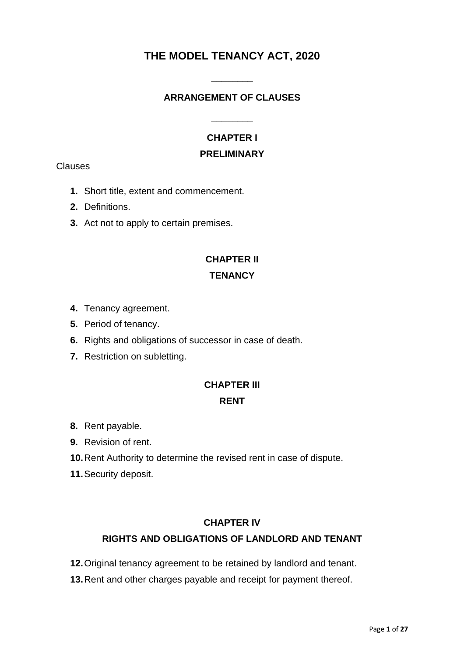## **THE MODEL TENANCY ACT, 2020**

**\_\_\_\_\_\_\_\_** 

### **ARRANGEMENT OF CLAUSES**

**\_\_\_\_\_\_\_\_** 

# **CHAPTER I**

### **PRELIMINARY**

**Clauses** 

- **1.** Short title, extent and commencement.
- **2.** Definitions.
- **3.** Act not to apply to certain premises.

# **CHAPTER II TENANCY**

- **4.** Tenancy agreement.
- **5.** Period of tenancy.
- **6.** Rights and obligations of successor in case of death.
- **7.** Restriction on subletting.

# **CHAPTER III RENT**

- **8.** Rent payable.
- **9.** Revision of rent.
- **10.** Rent Authority to determine the revised rent in case of dispute.
- **11.** Security deposit.

### **CHAPTER IV**

### **RIGHTS AND OBLIGATIONS OF LANDLORD AND TENANT**

- **12.** Original tenancy agreement to be retained by landlord and tenant.
- **13.** Rent and other charges payable and receipt for payment thereof.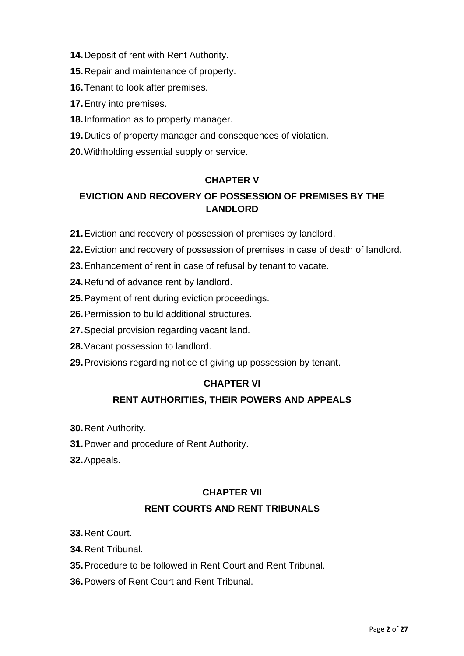- **14.** Deposit of rent with Rent Authority.
- **15.** Repair and maintenance of property.
- **16.** Tenant to look after premises.
- **17.** Entry into premises.
- **18.** Information as to property manager.
- **19.** Duties of property manager and consequences of violation.
- **20.** Withholding essential supply or service.

### **CHAPTER V**

### **EVICTION AND RECOVERY OF POSSESSION OF PREMISES BY THE LANDLORD**

- 21. Eviction and recovery of possession of premises by landlord.
- **22.** Eviction and recovery of possession of premises in case of death of landlord.
- **23.** Enhancement of rent in case of refusal by tenant to vacate.
- 24. Refund of advance rent by landlord.
- **25.** Payment of rent during eviction proceedings.
- **26.** Permission to build additional structures.
- **27.** Special provision regarding vacant land.
- **28.** Vacant possession to landlord.
- 29. Provisions regarding notice of giving up possession by tenant.

### **CHAPTER VI**

### **RENT AUTHORITIES, THEIR POWERS AND APPEALS**

- **30.** Rent Authority.
- **31.** Power and procedure of Rent Authority.
- **32.** Appeals.

## **CHAPTER VII RENT COURTS AND RENT TRIBUNALS**

- **33.** Rent Court.
- **34.** Rent Tribunal.
- **35.** Procedure to be followed in Rent Court and Rent Tribunal.
- **36.** Powers of Rent Court and Rent Tribunal.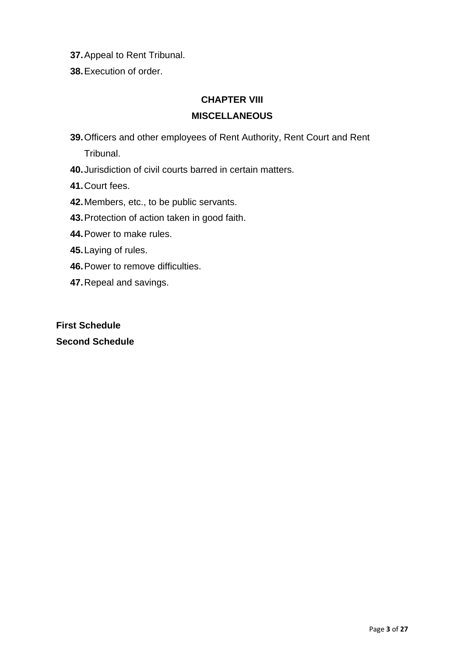- **37.** Appeal to Rent Tribunal.
- **38.** Execution of order.

### **CHAPTER VIII**

### **MISCELLANEOUS**

**39.** Officers and other employees of Rent Authority, Rent Court and Rent Tribunal.

- **40.** Jurisdiction of civil courts barred in certain matters.
- **41.** Court fees.
- **42.** Members, etc., to be public servants.
- **43.** Protection of action taken in good faith.
- **44.** Power to make rules.
- **45.** Laying of rules.
- **46.** Power to remove difficulties.
- **47.** Repeal and savings.

**First Schedule Second Schedule**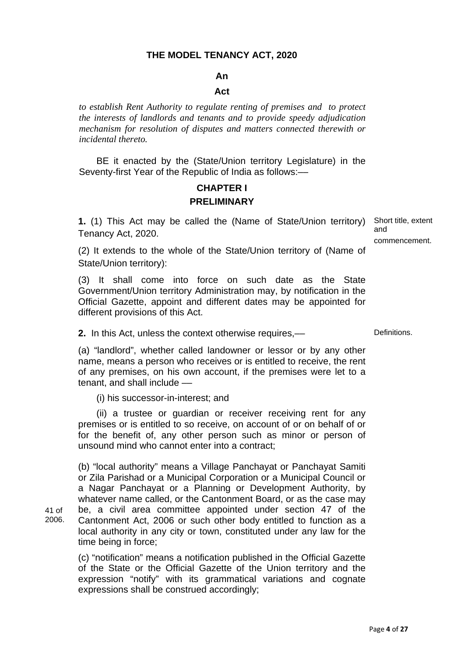### **THE MODEL TENANCY ACT, 2020**

#### **An**

#### **Act**

*to establish Rent Authority to regulate renting of premises and to protect the interests of landlords and tenants and to provide speedy adjudication mechanism for resolution of disputes and matters connected therewith or incidental thereto.* 

 BE it enacted by the (State/Union territory Legislature) in the Seventy-first Year of the Republic of India as follows:-

### **CHAPTER I PRELIMINARY**

**1.** (1) This Act may be called the (Name of State/Union territory) Tenancy Act, 2020. Short title, extent

and commencement.

(2) It extends to the whole of the State/Union territory of (Name of State/Union territory):

(3) It shall come into force on such date as the State Government/Union territory Administration may, by notification in the Official Gazette, appoint and different dates may be appointed for different provisions of this Act.

**2.** In this Act, unless the context otherwise requires,— Definitions.

 (a) "landlord", whether called landowner or lessor or by any other name, means a person who receives or is entitled to receive, the rent of any premises, on his own account, if the premises were let to a tenant, and shall include ––

(i) his successor-in-interest; and

41 of 2006.

 (ii) a trustee or guardian or receiver receiving rent for any premises or is entitled to so receive, on account of or on behalf of or for the benefit of, any other person such as minor or person of unsound mind who cannot enter into a contract;

(b) "local authority" means a Village Panchayat or Panchayat Samiti or Zila Parishad or a Municipal Corporation or a Municipal Council or a Nagar Panchayat or a Planning or Development Authority, by whatever name called, or the Cantonment Board, or as the case may be, a civil area committee appointed under section 47 of the Cantonment Act, 2006 or such other body entitled to function as a local authority in any city or town, constituted under any law for the time being in force;

(c) "notification" means a notification published in the Official Gazette of the State or the Official Gazette of the Union territory and the expression "notify" with its grammatical variations and cognate expressions shall be construed accordingly;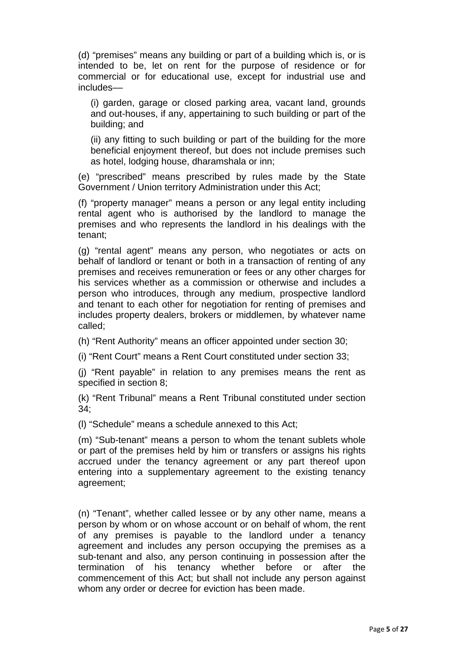(d) "premises" means any building or part of a building which is, or is intended to be, let on rent for the purpose of residence or for commercial or for educational use, except for industrial use and includes––

(i) garden, garage or closed parking area, vacant land, grounds and out-houses, if any, appertaining to such building or part of the building; and

(ii) any fitting to such building or part of the building for the more beneficial enjoyment thereof, but does not include premises such as hotel, lodging house, dharamshala or inn;

(e) "prescribed" means prescribed by rules made by the State Government / Union territory Administration under this Act;

 (f) "property manager" means a person or any legal entity including rental agent who is authorised by the landlord to manage the premises and who represents the landlord in his dealings with the tenant;

(g) "rental agent" means any person, who negotiates or acts on behalf of landlord or tenant or both in a transaction of renting of any premises and receives remuneration or fees or any other charges for his services whether as a commission or otherwise and includes a person who introduces, through any medium, prospective landlord and tenant to each other for negotiation for renting of premises and includes property dealers, brokers or middlemen, by whatever name called;

(h) "Rent Authority" means an officer appointed under section 30;

(i) "Rent Court" means a Rent Court constituted under section 33;

 (j) "Rent payable" in relation to any premises means the rent as specified in section 8;

(k) "Rent Tribunal" means a Rent Tribunal constituted under section 34;

(l) "Schedule" means a schedule annexed to this Act;

(m) "Sub-tenant" means a person to whom the tenant sublets whole or part of the premises held by him or transfers or assigns his rights accrued under the tenancy agreement or any part thereof upon entering into a supplementary agreement to the existing tenancy agreement;

(n) "Tenant", whether called lessee or by any other name, means a person by whom or on whose account or on behalf of whom, the rent of any premises is payable to the landlord under a tenancy agreement and includes any person occupying the premises as a sub-tenant and also, any person continuing in possession after the termination of his tenancy whether before or after the commencement of this Act; but shall not include any person against whom any order or decree for eviction has been made.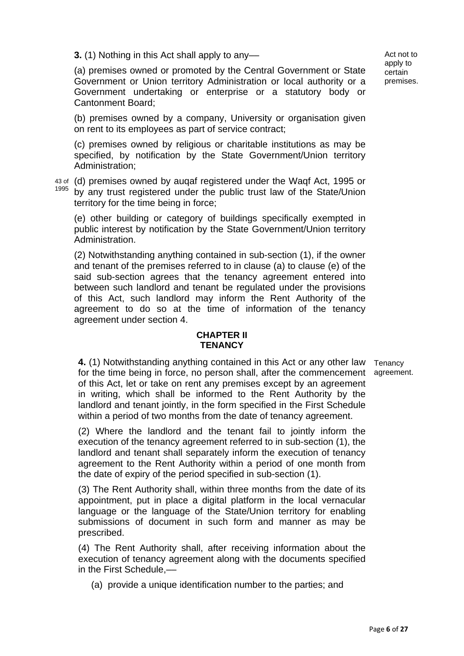**3.** (1) Nothing in this Act shall apply to any—

Act not to apply to certain premises.

(a) premises owned or promoted by the Central Government or State Government or Union territory Administration or local authority or a Government undertaking or enterprise or a statutory body or Cantonment Board;

(b) premises owned by a company, University or organisation given on rent to its employees as part of service contract;

(c) premises owned by religious or charitable institutions as may be specified, by notification by the State Government/Union territory Administration;

43 of (d) premises owned by auqaf registered under the Waqf Act, 1995 or 1995 by any trust registered under the public trust law of the State/Union territory for the time being in force;

(e) other building or category of buildings specifically exempted in public interest by notification by the State Government/Union territory Administration.

(2) Notwithstanding anything contained in sub-section (1), if the owner and tenant of the premises referred to in clause (a) to clause (e) of the said sub-section agrees that the tenancy agreement entered into between such landlord and tenant be regulated under the provisions of this Act, such landlord may inform the Rent Authority of the agreement to do so at the time of information of the tenancy agreement under section 4.

#### **CHAPTER II TENANCY**

**4.** (1) Notwithstanding anything contained in this Act or any other law Tenancy for the time being in force, no person shall, after the commencement agreement.of this Act, let or take on rent any premises except by an agreement in writing, which shall be informed to the Rent Authority by the landlord and tenant jointly, in the form specified in the First Schedule within a period of two months from the date of tenancy agreement.

(2) Where the landlord and the tenant fail to jointly inform the execution of the tenancy agreement referred to in sub-section (1), the landlord and tenant shall separately inform the execution of tenancy agreement to the Rent Authority within a period of one month from the date of expiry of the period specified in sub-section (1).

(3) The Rent Authority shall, within three months from the date of its appointment, put in place a digital platform in the local vernacular language or the language of the State/Union territory for enabling submissions of document in such form and manner as may be prescribed.

(4) The Rent Authority shall, after receiving information about the execution of tenancy agreement along with the documents specified in the First Schedule,––

(a) provide a unique identification number to the parties; and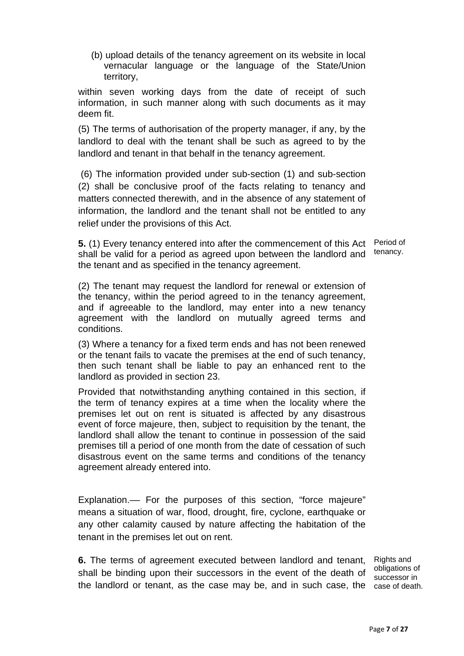(b) upload details of the tenancy agreement on its website in local vernacular language or the language of the State/Union territory,

within seven working days from the date of receipt of such information, in such manner along with such documents as it may deem fit.

(5) The terms of authorisation of the property manager, if any, by the landlord to deal with the tenant shall be such as agreed to by the landlord and tenant in that behalf in the tenancy agreement.

 (6) The information provided under sub-section (1) and sub-section (2) shall be conclusive proof of the facts relating to tenancy and matters connected therewith, and in the absence of any statement of information, the landlord and the tenant shall not be entitled to any relief under the provisions of this Act.

**5.** (1) Every tenancy entered into after the commencement of this Act Period of shall be valid for a period as agreed upon between the landlord and the tenant and as specified in the tenancy agreement. tenancy.

(2) The tenant may request the landlord for renewal or extension of the tenancy, within the period agreed to in the tenancy agreement, and if agreeable to the landlord, may enter into a new tenancy agreement with the landlord on mutually agreed terms and conditions.

(3) Where a tenancy for a fixed term ends and has not been renewed or the tenant fails to vacate the premises at the end of such tenancy, then such tenant shall be liable to pay an enhanced rent to the landlord as provided in section 23.

Provided that notwithstanding anything contained in this section, if the term of tenancy expires at a time when the locality where the premises let out on rent is situated is affected by any disastrous event of force majeure, then, subject to requisition by the tenant, the landlord shall allow the tenant to continue in possession of the said premises till a period of one month from the date of cessation of such disastrous event on the same terms and conditions of the tenancy agreement already entered into.

Explanation.–– For the purposes of this section, "force majeure" means a situation of war, flood, drought, fire, cyclone, earthquake or any other calamity caused by nature affecting the habitation of the tenant in the premises let out on rent.

**6.** The terms of agreement executed between landlord and tenant, shall be binding upon their successors in the event of the death of obligations of the landlord or tenant, as the case may be, and in such case, the case of death.

Rights and successor in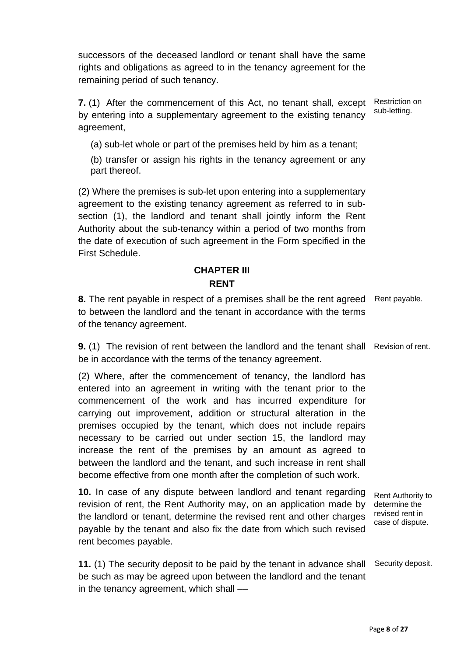successors of the deceased landlord or tenant shall have the same rights and obligations as agreed to in the tenancy agreement for the remaining period of such tenancy.

**7.** (1) After the commencement of this Act, no tenant shall, except by entering into a supplementary agreement to the existing tenancy agreement, Restriction on sub-letting.

(a) sub-let whole or part of the premises held by him as a tenant;

(b) transfer or assign his rights in the tenancy agreement or any part thereof.

(2) Where the premises is sub-let upon entering into a supplementary agreement to the existing tenancy agreement as referred to in subsection (1), the landlord and tenant shall jointly inform the Rent Authority about the sub-tenancy within a period of two months from the date of execution of such agreement in the Form specified in the First Schedule.

### **CHAPTER III**

### **RENT**

**8.** The rent payable in respect of a premises shall be the rent agreed Rent payable. to between the landlord and the tenant in accordance with the terms of the tenancy agreement.

**9.** (1) The revision of rent between the landlord and the tenant shall Revision of rent. be in accordance with the terms of the tenancy agreement.

(2) Where, after the commencement of tenancy, the landlord has entered into an agreement in writing with the tenant prior to the commencement of the work and has incurred expenditure for carrying out improvement, addition or structural alteration in the premises occupied by the tenant, which does not include repairs necessary to be carried out under section 15, the landlord may increase the rent of the premises by an amount as agreed to between the landlord and the tenant, and such increase in rent shall become effective from one month after the completion of such work.

**10.** In case of any dispute between landlord and tenant regarding revision of rent, the Rent Authority may, on an application made by the landlord or tenant, determine the revised rent and other charges payable by the tenant and also fix the date from which such revised rent becomes payable.

Rent Authority to determine the revised rent in case of dispute.

**11.** (1) The security deposit to be paid by the tenant in advance shall Security deposit. be such as may be agreed upon between the landlord and the tenant in the tenancy agreement, which shall ––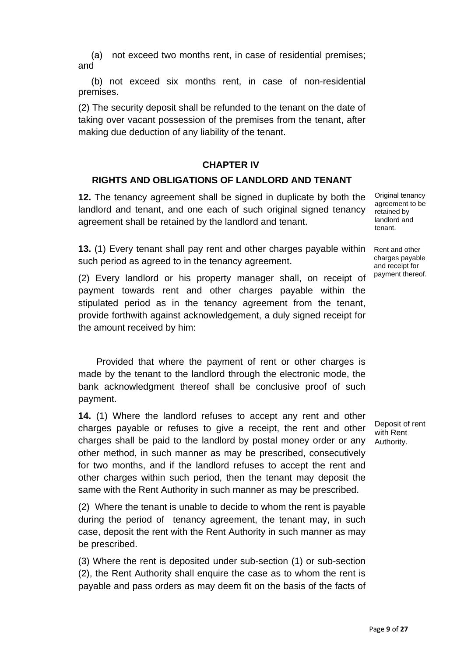(a) not exceed two months rent, in case of residential premises; and

 (b) not exceed six months rent, in case of non-residential premises.

(2) The security deposit shall be refunded to the tenant on the date of taking over vacant possession of the premises from the tenant, after making due deduction of any liability of the tenant.

#### **CHAPTER IV**

### **RIGHTS AND OBLIGATIONS OF LANDLORD AND TENANT**

**12.** The tenancy agreement shall be signed in duplicate by both the landlord and tenant, and one each of such original signed tenancy agreement shall be retained by the landlord and tenant.

**13.** (1) Every tenant shall pay rent and other charges payable within such period as agreed to in the tenancy agreement.

(2) Every landlord or his property manager shall, on receipt of payment towards rent and other charges payable within the stipulated period as in the tenancy agreement from the tenant, provide forthwith against acknowledgement, a duly signed receipt for the amount received by him:

 Provided that where the payment of rent or other charges is made by the tenant to the landlord through the electronic mode, the bank acknowledgment thereof shall be conclusive proof of such payment.

**14.** (1) Where the landlord refuses to accept any rent and other charges payable or refuses to give a receipt, the rent and other charges shall be paid to the landlord by postal money order or any Authority. other method, in such manner as may be prescribed, consecutively for two months, and if the landlord refuses to accept the rent and other charges within such period, then the tenant may deposit the same with the Rent Authority in such manner as may be prescribed.

(2) Where the tenant is unable to decide to whom the rent is payable during the period of tenancy agreement, the tenant may, in such case, deposit the rent with the Rent Authority in such manner as may be prescribed.

(3) Where the rent is deposited under sub-section (1) or sub-section (2), the Rent Authority shall enquire the case as to whom the rent is payable and pass orders as may deem fit on the basis of the facts of

Original tenancy agreement to be retained by landlord and tenant.

Rent and other charges payable and receipt for payment thereof.

Deposit of rent with Rent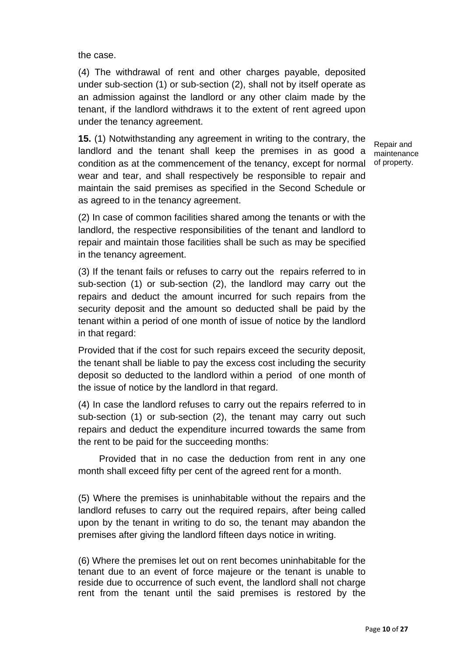the case.

(4) The withdrawal of rent and other charges payable, deposited under sub-section (1) or sub-section (2), shall not by itself operate as an admission against the landlord or any other claim made by the tenant, if the landlord withdraws it to the extent of rent agreed upon under the tenancy agreement.

**15.** (1) Notwithstanding any agreement in writing to the contrary, the landlord and the tenant shall keep the premises in as good a condition as at the commencement of the tenancy, except for normal of property. wear and tear, and shall respectively be responsible to repair and maintain the said premises as specified in the Second Schedule or as agreed to in the tenancy agreement.

Repair and maintenance

(2) In case of common facilities shared among the tenants or with the landlord, the respective responsibilities of the tenant and landlord to repair and maintain those facilities shall be such as may be specified in the tenancy agreement.

(3) If the tenant fails or refuses to carry out the repairs referred to in sub-section (1) or sub-section (2), the landlord may carry out the repairs and deduct the amount incurred for such repairs from the security deposit and the amount so deducted shall be paid by the tenant within a period of one month of issue of notice by the landlord in that regard:

Provided that if the cost for such repairs exceed the security deposit, the tenant shall be liable to pay the excess cost including the security deposit so deducted to the landlord within a period of one month of the issue of notice by the landlord in that regard.

(4) In case the landlord refuses to carry out the repairs referred to in sub-section (1) or sub-section (2), the tenant may carry out such repairs and deduct the expenditure incurred towards the same from the rent to be paid for the succeeding months:

 Provided that in no case the deduction from rent in any one month shall exceed fifty per cent of the agreed rent for a month.

(5) Where the premises is uninhabitable without the repairs and the landlord refuses to carry out the required repairs, after being called upon by the tenant in writing to do so, the tenant may abandon the premises after giving the landlord fifteen days notice in writing.

(6) Where the premises let out on rent becomes uninhabitable for the tenant due to an event of force majeure or the tenant is unable to reside due to occurrence of such event, the landlord shall not charge rent from the tenant until the said premises is restored by the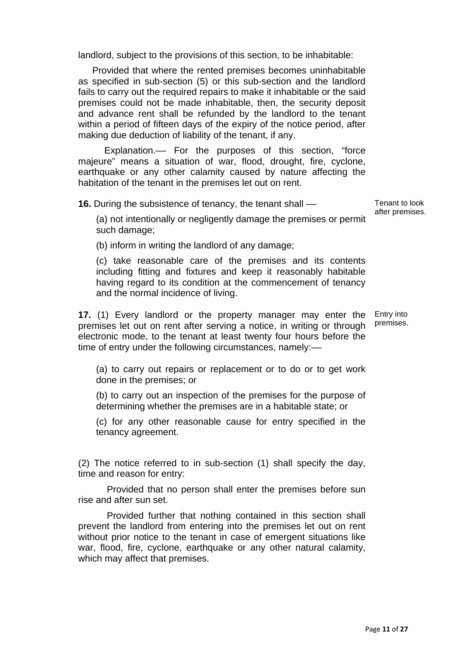landlord, subject to the provisions of this section, to be inhabitable:

 Provided that where the rented premises becomes uninhabitable as specified in sub-section (5) or this sub-section and the landlord fails to carry out the required repairs to make it inhabitable or the said premises could not be made inhabitable, then, the security deposit and advance rent shall be refunded by the landlord to the tenant within a period of fifteen days of the expiry of the notice period, after making due deduction of liability of the tenant, if any.

 Explanation.–– For the purposes of this section, "force majeure" means a situation of war, flood, drought, fire, cyclone, earthquake or any other calamity caused by nature affecting the habitation of the tenant in the premises let out on rent.

**16.** During the subsistence of tenancy, the tenant shall ––

Tenant to look after premises.

(a) not intentionally or negligently damage the premises or permit such damage;

(b) inform in writing the landlord of any damage;

(c) take reasonable care of the premises and its contents including fitting and fixtures and keep it reasonably habitable having regard to its condition at the commencement of tenancy and the normal incidence of living.

**17.** (1) Every landlord or the property manager may enter the premises let out on rent after serving a notice, in writing or through electronic mode, to the tenant at least twenty four hours before the time of entry under the following circumstances, namely:––

Entry into premises.

(a) to carry out repairs or replacement or to do or to get work done in the premises; or

(b) to carry out an inspection of the premises for the purpose of determining whether the premises are in a habitable state; or

(c) for any other reasonable cause for entry specified in the tenancy agreement.

(2) The notice referred to in sub-section (1) shall specify the day, time and reason for entry:

 Provided that no person shall enter the premises before sun rise and after sun set.

 Provided further that nothing contained in this section shall prevent the landlord from entering into the premises let out on rent without prior notice to the tenant in case of emergent situations like war, flood, fire, cyclone, earthquake or any other natural calamity, which may affect that premises.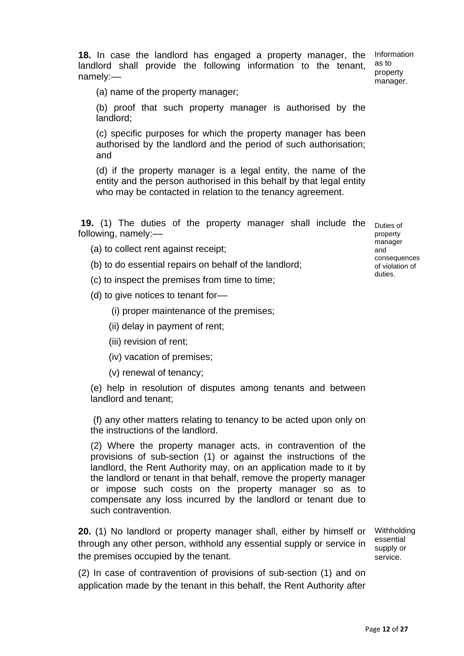18. In case the landlord has engaged a property manager, the Information landlord shall provide the following information to the tenant, namely:––

as to property manager.

(a) name of the property manager;

(b) proof that such property manager is authorised by the landlord;

(c) specific purposes for which the property manager has been authorised by the landlord and the period of such authorisation; and

(d) if the property manager is a legal entity, the name of the entity and the person authorised in this behalf by that legal entity who may be contacted in relation to the tenancy agreement.

**19.** (1) The duties of the property manager shall include the Duties of following, namely:––

(a) to collect rent against receipt;

(b) to do essential repairs on behalf of the landlord;

(c) to inspect the premises from time to time;

(d) to give notices to tenant for––

(i) proper maintenance of the premises;

- (ii) delay in payment of rent;
- (iii) revision of rent;

(iv) vacation of premises;

(v) renewal of tenancy;

(e) help in resolution of disputes among tenants and between landlord and tenant;

 (f) any other matters relating to tenancy to be acted upon only on the instructions of the landlord.

(2) Where the property manager acts, in contravention of the provisions of sub-section (1) or against the instructions of the landlord, the Rent Authority may, on an application made to it by the landlord or tenant in that behalf, remove the property manager or impose such costs on the property manager so as to compensate any loss incurred by the landlord or tenant due to such contravention.

**20.** (1) No landlord or property manager shall, either by himself or through any other person, withhold any essential supply or service in the premises occupied by the tenant.

Withholding essential supply or service.

(2) In case of contravention of provisions of sub-section (1) and on application made by the tenant in this behalf, the Rent Authority after

property manager and consequences of violation of duties.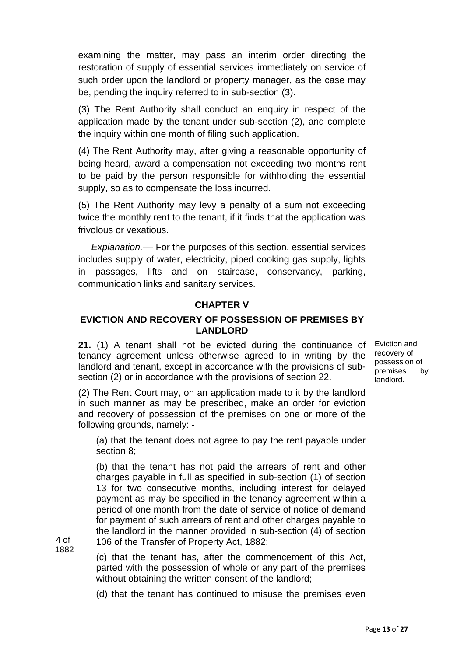examining the matter, may pass an interim order directing the restoration of supply of essential services immediately on service of such order upon the landlord or property manager, as the case may be, pending the inquiry referred to in sub-section (3).

(3) The Rent Authority shall conduct an enquiry in respect of the application made by the tenant under sub-section (2), and complete the inquiry within one month of filing such application.

(4) The Rent Authority may, after giving a reasonable opportunity of being heard, award a compensation not exceeding two months rent to be paid by the person responsible for withholding the essential supply, so as to compensate the loss incurred.

(5) The Rent Authority may levy a penalty of a sum not exceeding twice the monthly rent to the tenant, if it finds that the application was frivolous or vexatious.

 *Explanation.––* For the purposes of this section, essential services includes supply of water, electricity, piped cooking gas supply, lights in passages, lifts and on staircase, conservancy, parking, communication links and sanitary services.

#### **CHAPTER V**

### **EVICTION AND RECOVERY OF POSSESSION OF PREMISES BY LANDLORD**

**21.** (1) A tenant shall not be evicted during the continuance of Eviction and tenancy agreement unless otherwise agreed to in writing by the landlord and tenant, except in accordance with the provisions of subsection (2) or in accordance with the provisions of section 22.

(2) The Rent Court may, on an application made to it by the landlord in such manner as may be prescribed, make an order for eviction and recovery of possession of the premises on one or more of the following grounds, namely: -

(a) that the tenant does not agree to pay the rent payable under section 8;

(b) that the tenant has not paid the arrears of rent and other charges payable in full as specified in sub-section (1) of section 13 for two consecutive months, including interest for delayed payment as may be specified in the tenancy agreement within a period of one month from the date of service of notice of demand for payment of such arrears of rent and other charges payable to the landlord in the manner provided in sub-section (4) of section 106 of the Transfer of Property Act, 1882;

(c) that the tenant has, after the commencement of this Act, parted with the possession of whole or any part of the premises without obtaining the written consent of the landlord;

4 of 1882

(d) that the tenant has continued to misuse the premises even

recovery of possession of premises by landlord.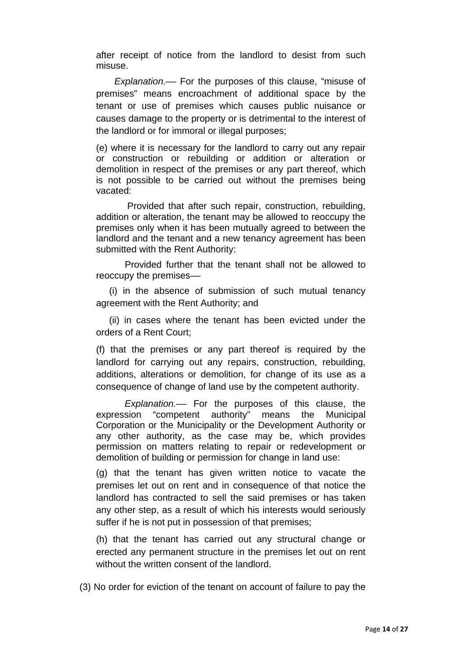after receipt of notice from the landlord to desist from such misuse.

 *Explanation*.–– For the purposes of this clause, "misuse of premises" means encroachment of additional space by the tenant or use of premises which causes public nuisance or causes damage to the property or is detrimental to the interest of the landlord or for immoral or illegal purposes;

(e) where it is necessary for the landlord to carry out any repair or construction or rebuilding or addition or alteration or demolition in respect of the premises or any part thereof, which is not possible to be carried out without the premises being vacated:

 Provided that after such repair, construction, rebuilding, addition or alteration, the tenant may be allowed to reoccupy the premises only when it has been mutually agreed to between the landlord and the tenant and a new tenancy agreement has been submitted with the Rent Authority:

 Provided further that the tenant shall not be allowed to reoccupy the premises––

 (i) in the absence of submission of such mutual tenancy agreement with the Rent Authority; and

 (ii) in cases where the tenant has been evicted under the orders of a Rent Court;

(f) that the premises or any part thereof is required by the landlord for carrying out any repairs, construction, rebuilding, additions, alterations or demolition, for change of its use as a consequence of change of land use by the competent authority.

 *Explanation.––* For the purposes of this clause, the expression "competent authority" means the Municipal Corporation or the Municipality or the Development Authority or any other authority, as the case may be, which provides permission on matters relating to repair or redevelopment or demolition of building or permission for change in land use:

(g) that the tenant has given written notice to vacate the premises let out on rent and in consequence of that notice the landlord has contracted to sell the said premises or has taken any other step, as a result of which his interests would seriously suffer if he is not put in possession of that premises;

(h) that the tenant has carried out any structural change or erected any permanent structure in the premises let out on rent without the written consent of the landlord.

(3) No order for eviction of the tenant on account of failure to pay the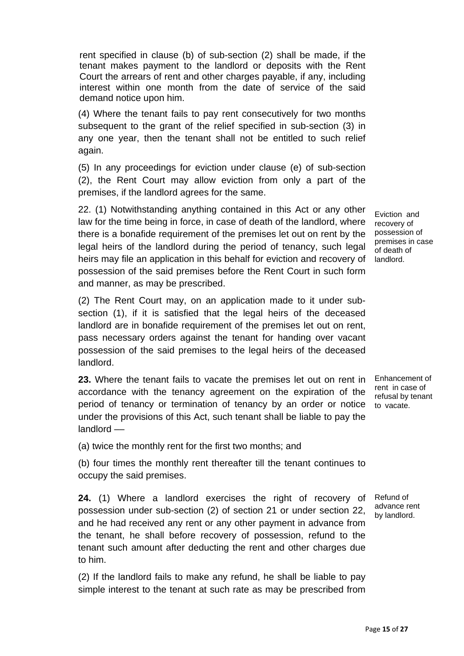rent specified in clause (b) of sub-section (2) shall be made, if the tenant makes payment to the landlord or deposits with the Rent Court the arrears of rent and other charges payable, if any, including interest within one month from the date of service of the said demand notice upon him.

(4) Where the tenant fails to pay rent consecutively for two months subsequent to the grant of the relief specified in sub-section (3) in any one year, then the tenant shall not be entitled to such relief again.

(5) In any proceedings for eviction under clause (e) of sub-section (2), the Rent Court may allow eviction from only a part of the premises, if the landlord agrees for the same.

22. (1) Notwithstanding anything contained in this Act or any other law for the time being in force, in case of death of the landlord, where there is a bonafide requirement of the premises let out on rent by the legal heirs of the landlord during the period of tenancy, such legal heirs may file an application in this behalf for eviction and recovery of landlord. possession of the said premises before the Rent Court in such form and manner, as may be prescribed.

(2) The Rent Court may, on an application made to it under subsection (1), if it is satisfied that the legal heirs of the deceased landlord are in bonafide requirement of the premises let out on rent, pass necessary orders against the tenant for handing over vacant possession of the said premises to the legal heirs of the deceased landlord.

**23.** Where the tenant fails to vacate the premises let out on rent in Enhancement of accordance with the tenancy agreement on the expiration of the period of tenancy or termination of tenancy by an order or notice to vacate. under the provisions of this Act, such tenant shall be liable to pay the landlord ––

(a) twice the monthly rent for the first two months; and

(b) four times the monthly rent thereafter till the tenant continues to occupy the said premises.

**24.** (1) Where a landlord exercises the right of recovery of possession under sub-section (2) of section 21 or under section 22, and he had received any rent or any other payment in advance from the tenant, he shall before recovery of possession, refund to the tenant such amount after deducting the rent and other charges due to him.

(2) If the landlord fails to make any refund, he shall be liable to pay simple interest to the tenant at such rate as may be prescribed from

Eviction and recovery of possession of premises in case of death of

rent in case of refusal by tenant

Refund of advance rent by landlord.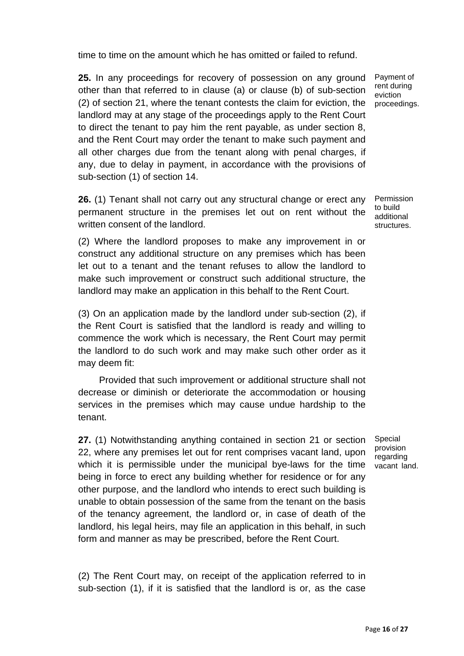time to time on the amount which he has omitted or failed to refund.

**25.** In any proceedings for recovery of possession on any ground other than that referred to in clause (a) or clause (b) of sub-section (2) of section 21, where the tenant contests the claim for eviction, the proceedings. landlord may at any stage of the proceedings apply to the Rent Court to direct the tenant to pay him the rent payable, as under section 8, and the Rent Court may order the tenant to make such payment and all other charges due from the tenant along with penal charges, if any, due to delay in payment, in accordance with the provisions of sub-section (1) of section 14.

**26.** (1) Tenant shall not carry out any structural change or erect any permanent structure in the premises let out on rent without the written consent of the landlord.

(2) Where the landlord proposes to make any improvement in or construct any additional structure on any premises which has been let out to a tenant and the tenant refuses to allow the landlord to make such improvement or construct such additional structure, the landlord may make an application in this behalf to the Rent Court.

(3) On an application made by the landlord under sub-section (2), if the Rent Court is satisfied that the landlord is ready and willing to commence the work which is necessary, the Rent Court may permit the landlord to do such work and may make such other order as it may deem fit:

 Provided that such improvement or additional structure shall not decrease or diminish or deteriorate the accommodation or housing services in the premises which may cause undue hardship to the tenant.

**27.** (1) Notwithstanding anything contained in section 21 or section 22, where any premises let out for rent comprises vacant land, upon which it is permissible under the municipal bye-laws for the time being in force to erect any building whether for residence or for any other purpose, and the landlord who intends to erect such building is unable to obtain possession of the same from the tenant on the basis of the tenancy agreement, the landlord or, in case of death of the landlord, his legal heirs, may file an application in this behalf, in such form and manner as may be prescribed, before the Rent Court.

(2) The Rent Court may, on receipt of the application referred to in sub-section (1), if it is satisfied that the landlord is or, as the case

Special provision regarding vacant land.

Permission to build additional structures.

Payment of rent during eviction

Page **16** of **27**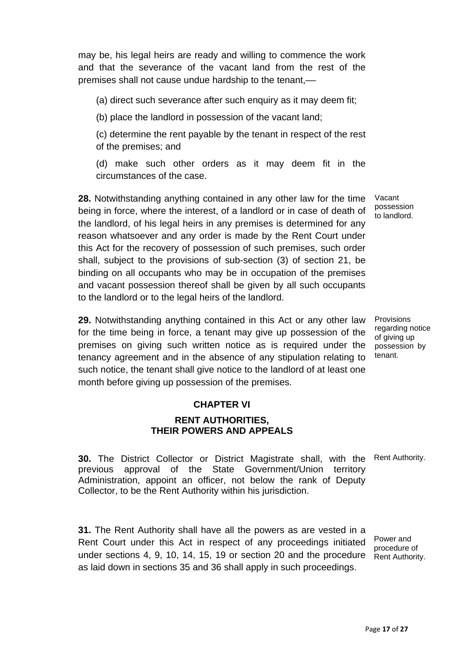may be, his legal heirs are ready and willing to commence the work and that the severance of the vacant land from the rest of the premises shall not cause undue hardship to the tenant,––

(a) direct such severance after such enquiry as it may deem fit;

(b) place the landlord in possession of the vacant land;

(c) determine the rent payable by the tenant in respect of the rest of the premises; and

(d) make such other orders as it may deem fit in the circumstances of the case.

**28.** Notwithstanding anything contained in any other law for the time being in force, where the interest, of a landlord or in case of death of the landlord, of his legal heirs in any premises is determined for any reason whatsoever and any order is made by the Rent Court under this Act for the recovery of possession of such premises, such order shall, subject to the provisions of sub-section (3) of section 21, be binding on all occupants who may be in occupation of the premises and vacant possession thereof shall be given by all such occupants to the landlord or to the legal heirs of the landlord.

**29.** Notwithstanding anything contained in this Act or any other law for the time being in force, a tenant may give up possession of the premises on giving such written notice as is required under the possession by tenancy agreement and in the absence of any stipulation relating to tenant. such notice, the tenant shall give notice to the landlord of at least one month before giving up possession of the premises.

Vacant possession to landlord.

Provisions regarding notice of giving up

#### **CHAPTER VI**

#### **RENT AUTHORITIES, THEIR POWERS AND APPEALS**

**30.** The District Collector or District Magistrate shall, with the Rent Authority. previous approval of the State Government/Union territory Administration, appoint an officer, not below the rank of Deputy Collector, to be the Rent Authority within his jurisdiction.

**31.** The Rent Authority shall have all the powers as are vested in a Rent Court under this Act in respect of any proceedings initiated under sections 4, 9, 10, 14, 15, 19 or section 20 and the procedure as laid down in sections 35 and 36 shall apply in such proceedings.

Power and procedure of Rent Authority.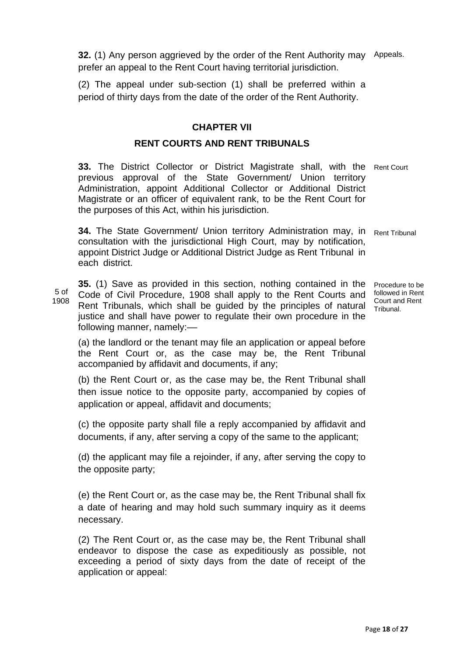**32.** (1) Any person aggrieved by the order of the Rent Authority may prefer an appeal to the Rent Court having territorial jurisdiction. Appeals.

(2) The appeal under sub-section (1) shall be preferred within a period of thirty days from the date of the order of the Rent Authority.

### **CHAPTER VII**

### **RENT COURTS AND RENT TRIBUNALS**

**33.** The District Collector or District Magistrate shall, with the Rent Court previous approval of the State Government/ Union territory Administration, appoint Additional Collector or Additional District Magistrate or an officer of equivalent rank, to be the Rent Court for the purposes of this Act, within his jurisdiction.

**34.** The State Government/ Union territory Administration may, in Rent Tribunal consultation with the jurisdictional High Court, may by notification, appoint District Judge or Additional District Judge as Rent Tribunal in each district.

5 of 1908 **35.** (1) Save as provided in this section, nothing contained in the Code of Civil Procedure, 1908 shall apply to the Rent Courts and Rent Tribunals, which shall be guided by the principles of natural Tribunal. justice and shall have power to regulate their own procedure in the following manner, namely:-

Procedure to be followed in Rent Court and Rent

(a) the landlord or the tenant may file an application or appeal before the Rent Court or, as the case may be, the Rent Tribunal accompanied by affidavit and documents, if any;

(b) the Rent Court or, as the case may be, the Rent Tribunal shall then issue notice to the opposite party, accompanied by copies of application or appeal, affidavit and documents;

(c) the opposite party shall file a reply accompanied by affidavit and documents, if any, after serving a copy of the same to the applicant;

(d) the applicant may file a rejoinder, if any, after serving the copy to the opposite party;

(e) the Rent Court or, as the case may be, the Rent Tribunal shall fix a date of hearing and may hold such summary inquiry as it deems necessary.

(2) The Rent Court or, as the case may be, the Rent Tribunal shall endeavor to dispose the case as expeditiously as possible, not exceeding a period of sixty days from the date of receipt of the application or appeal: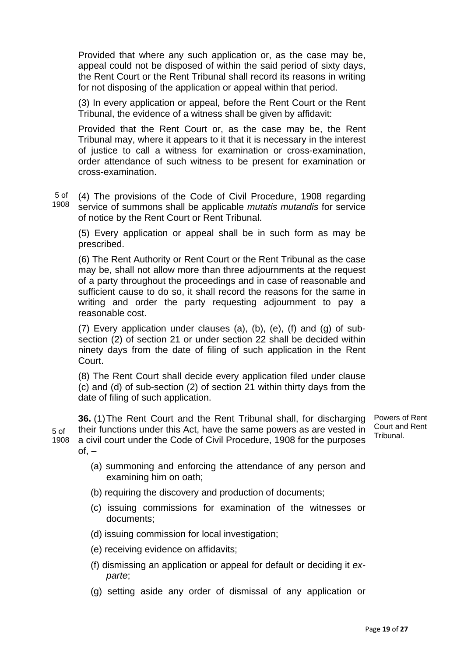Provided that where any such application or, as the case may be, appeal could not be disposed of within the said period of sixty days, the Rent Court or the Rent Tribunal shall record its reasons in writing for not disposing of the application or appeal within that period.

(3) In every application or appeal, before the Rent Court or the Rent Tribunal, the evidence of a witness shall be given by affidavit:

Provided that the Rent Court or, as the case may be, the Rent Tribunal may, where it appears to it that it is necessary in the interest of justice to call a witness for examination or cross-examination, order attendance of such witness to be present for examination or cross-examination.

5 of 1908 (4) The provisions of the Code of Civil Procedure, 1908 regarding service of summons shall be applicable *mutatis mutandis* for service of notice by the Rent Court or Rent Tribunal.

(5) Every application or appeal shall be in such form as may be prescribed.

(6) The Rent Authority or Rent Court or the Rent Tribunal as the case may be, shall not allow more than three adjournments at the request of a party throughout the proceedings and in case of reasonable and sufficient cause to do so, it shall record the reasons for the same in writing and order the party requesting adjournment to pay a reasonable cost.

(7) Every application under clauses (a), (b), (e), (f) and (g) of subsection (2) of section 21 or under section 22 shall be decided within ninety days from the date of filing of such application in the Rent Court.

(8) The Rent Court shall decide every application filed under clause (c) and (d) of sub-section (2) of section 21 within thirty days from the date of filing of such application.

5 of 1908 a civil court under the Code of Civil Procedure, 1908 for the purposes **36.** (1) The Rent Court and the Rent Tribunal shall, for discharging their functions under this Act, have the same powers as are vested in  $of. -$ Powers of Rent Court and Rent Tribunal.

- (a) summoning and enforcing the attendance of any person and examining him on oath;
- (b) requiring the discovery and production of documents;
- (c) issuing commissions for examination of the witnesses or documents;
- (d) issuing commission for local investigation;
- (e) receiving evidence on affidavits;
- (f) dismissing an application or appeal for default or deciding it *exparte*;
- (g) setting aside any order of dismissal of any application or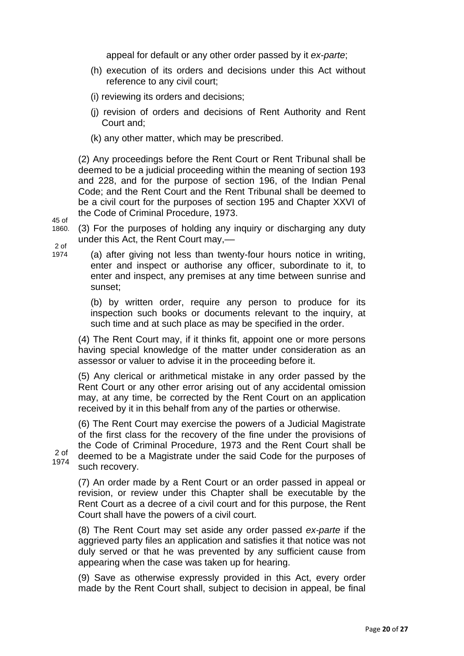appeal for default or any other order passed by it *ex-parte*;

- (h) execution of its orders and decisions under this Act without reference to any civil court;
- (i) reviewing its orders and decisions;
- (j) revision of orders and decisions of Rent Authority and Rent Court and;
- (k) any other matter, which may be prescribed.

(2) Any proceedings before the Rent Court or Rent Tribunal shall be deemed to be a judicial proceeding within the meaning of section 193 and 228, and for the purpose of section 196, of the Indian Penal Code; and the Rent Court and the Rent Tribunal shall be deemed to be a civil court for the purposes of section 195 and Chapter XXVI of the Code of Criminal Procedure, 1973.

45 of 1860.

(3) For the purposes of holding any inquiry or discharging any duty under this Act, the Rent Court may,––

 $2<sub>0</sub>$ 1974

2 of 1974

(a) after giving not less than twenty-four hours notice in writing, enter and inspect or authorise any officer, subordinate to it, to enter and inspect, any premises at any time between sunrise and sunset;

(b) by written order, require any person to produce for its inspection such books or documents relevant to the inquiry, at such time and at such place as may be specified in the order.

(4) The Rent Court may, if it thinks fit, appoint one or more persons having special knowledge of the matter under consideration as an assessor or valuer to advise it in the proceeding before it.

(5) Any clerical or arithmetical mistake in any order passed by the Rent Court or any other error arising out of any accidental omission may, at any time, be corrected by the Rent Court on an application received by it in this behalf from any of the parties or otherwise.

(6) The Rent Court may exercise the powers of a Judicial Magistrate of the first class for the recovery of the fine under the provisions of the Code of Criminal Procedure, 1973 and the Rent Court shall be deemed to be a Magistrate under the said Code for the purposes of such recovery.

(7) An order made by a Rent Court or an order passed in appeal or revision, or review under this Chapter shall be executable by the Rent Court as a decree of a civil court and for this purpose, the Rent Court shall have the powers of a civil court.

(8) The Rent Court may set aside any order passed *ex-parte* if the aggrieved party files an application and satisfies it that notice was not duly served or that he was prevented by any sufficient cause from appearing when the case was taken up for hearing.

(9) Save as otherwise expressly provided in this Act, every order made by the Rent Court shall, subject to decision in appeal, be final

Page **20** of **27**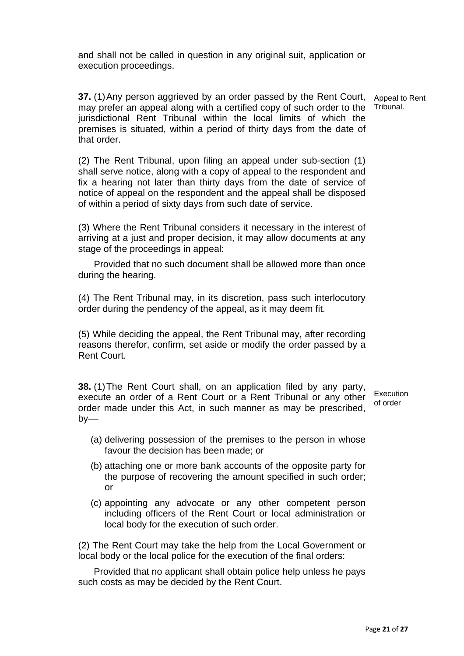and shall not be called in question in any original suit, application or execution proceedings.

**37.** (1) Any person aggrieved by an order passed by the Rent Court, Appeal to Rent may prefer an appeal along with a certified copy of such order to the Tribunal. jurisdictional Rent Tribunal within the local limits of which the premises is situated, within a period of thirty days from the date of that order.

(2) The Rent Tribunal, upon filing an appeal under sub-section (1) shall serve notice, along with a copy of appeal to the respondent and fix a hearing not later than thirty days from the date of service of notice of appeal on the respondent and the appeal shall be disposed of within a period of sixty days from such date of service.

(3) Where the Rent Tribunal considers it necessary in the interest of arriving at a just and proper decision, it may allow documents at any stage of the proceedings in appeal:

 Provided that no such document shall be allowed more than once during the hearing.

(4) The Rent Tribunal may, in its discretion, pass such interlocutory order during the pendency of the appeal, as it may deem fit.

(5) While deciding the appeal, the Rent Tribunal may, after recording reasons therefor, confirm, set aside or modify the order passed by a Rent Court.

**38.** (1) The Rent Court shall, on an application filed by any party, execute an order of a Rent Court or a Rent Tribunal or any other order made under this Act, in such manner as may be prescribed,  $bv$ —–

**Execution** of order

- (a) delivering possession of the premises to the person in whose favour the decision has been made; or
- (b) attaching one or more bank accounts of the opposite party for the purpose of recovering the amount specified in such order; or
- (c) appointing any advocate or any other competent person including officers of the Rent Court or local administration or local body for the execution of such order.

 (2) The Rent Court may take the help from the Local Government or local body or the local police for the execution of the final orders:

 Provided that no applicant shall obtain police help unless he pays such costs as may be decided by the Rent Court.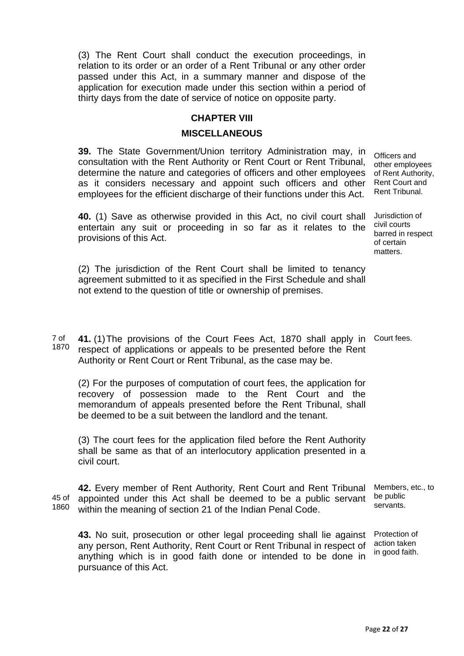(3) The Rent Court shall conduct the execution proceedings, in relation to its order or an order of a Rent Tribunal or any other order passed under this Act, in a summary manner and dispose of the application for execution made under this section within a period of thirty days from the date of service of notice on opposite party.

#### **CHAPTER VIII**

#### **MISCELLANEOUS**

**39.** The State Government/Union territory Administration may, in consultation with the Rent Authority or Rent Court or Rent Tribunal, determine the nature and categories of officers and other employees as it considers necessary and appoint such officers and other employees for the efficient discharge of their functions under this Act.

**40.** (1) Save as otherwise provided in this Act, no civil court shall entertain any suit or proceeding in so far as it relates to the provisions of this Act.

Officers and other employees of Rent Authority, Rent Court and Rent Tribunal.

Jurisdiction of civil courts barred in respect of certain matters.

(2) The jurisdiction of the Rent Court shall be limited to tenancy agreement submitted to it as specified in the First Schedule and shall not extend to the question of title or ownership of premises.

7 of 1870 **41.** (1) The provisions of the Court Fees Act, 1870 shall apply in Court fees. respect of applications or appeals to be presented before the Rent Authority or Rent Court or Rent Tribunal, as the case may be.

(2) For the purposes of computation of court fees, the application for recovery of possession made to the Rent Court and the memorandum of appeals presented before the Rent Tribunal, shall be deemed to be a suit between the landlord and the tenant.

(3) The court fees for the application filed before the Rent Authority shall be same as that of an interlocutory application presented in a civil court.

45 of 1860 **42.** Every member of Rent Authority, Rent Court and Rent Tribunal appointed under this Act shall be deemed to be a public servant within the meaning of section 21 of the Indian Penal Code. be public servants.

**43.** No suit, prosecution or other legal proceeding shall lie against any person, Rent Authority, Rent Court or Rent Tribunal in respect of anything which is in good faith done or intended to be done in pursuance of this Act.

Members, etc., to

Protection of action taken in good faith.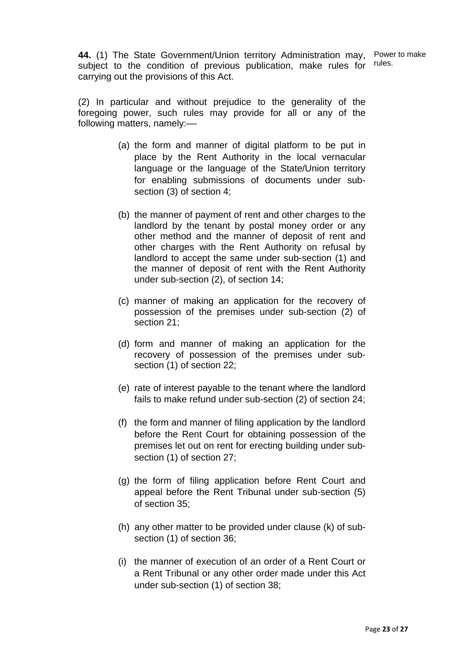**44.** (1) The State Government/Union territory Administration may, subject to the condition of previous publication, make rules for carrying out the provisions of this Act.

Power to make rules.

(2) In particular and without prejudice to the generality of the foregoing power, such rules may provide for all or any of the following matters, namely:-

- (a) the form and manner of digital platform to be put in place by the Rent Authority in the local vernacular language or the language of the State/Union territory for enabling submissions of documents under subsection (3) of section 4;
- (b) the manner of payment of rent and other charges to the landlord by the tenant by postal money order or any other method and the manner of deposit of rent and other charges with the Rent Authority on refusal by landlord to accept the same under sub-section (1) and the manner of deposit of rent with the Rent Authority under sub-section (2), of section 14;
- (c) manner of making an application for the recovery of possession of the premises under sub-section (2) of section 21;
- (d) form and manner of making an application for the recovery of possession of the premises under subsection (1) of section 22;
- (e) rate of interest payable to the tenant where the landlord fails to make refund under sub-section (2) of section 24;
- (f) the form and manner of filing application by the landlord before the Rent Court for obtaining possession of the premises let out on rent for erecting building under subsection (1) of section 27;
- (g) the form of filing application before Rent Court and appeal before the Rent Tribunal under sub-section (5) of section 35;
- (h) any other matter to be provided under clause (k) of subsection (1) of section 36;
- (i) the manner of execution of an order of a Rent Court or a Rent Tribunal or any other order made under this Act under sub-section (1) of section 38;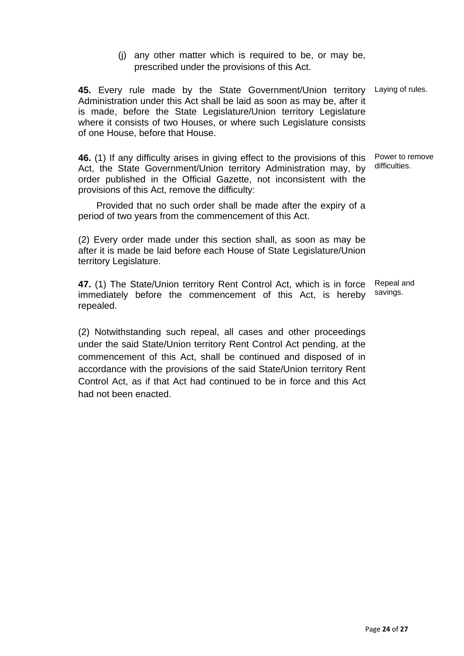(j) any other matter which is required to be, or may be, prescribed under the provisions of this Act.

45. Every rule made by the State Government/Union territory Laying of rules. Administration under this Act shall be laid as soon as may be, after it is made, before the State Legislature/Union territory Legislature where it consists of two Houses, or where such Legislature consists of one House, before that House.

**46.** (1) If any difficulty arises in giving effect to the provisions of this Act, the State Government/Union territory Administration may, by order published in the Official Gazette, not inconsistent with the provisions of this Act, remove the difficulty: Power to remove

 Provided that no such order shall be made after the expiry of a period of two years from the commencement of this Act.

(2) Every order made under this section shall, as soon as may be after it is made be laid before each House of State Legislature/Union territory Legislature.

**47.** (1) The State/Union territory Rent Control Act, which is in force immediately before the commencement of this Act, is hereby repealed. Repeal and savings.

(2) Notwithstanding such repeal, all cases and other proceedings under the said State/Union territory Rent Control Act pending, at the commencement of this Act, shall be continued and disposed of in accordance with the provisions of the said State/Union territory Rent Control Act, as if that Act had continued to be in force and this Act had not been enacted.

difficulties.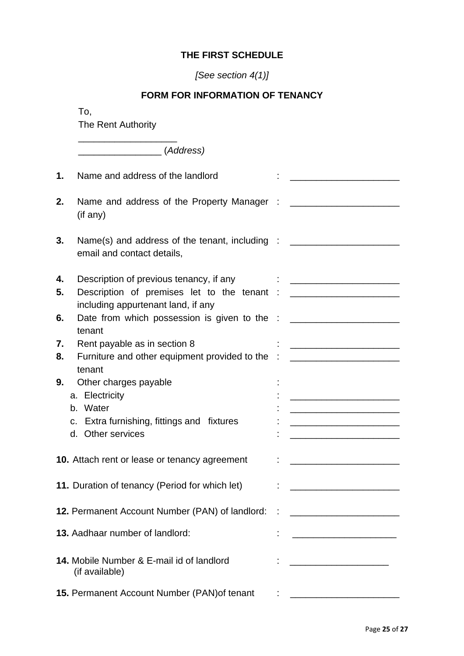### **THE FIRST SCHEDULE**

### *[See section 4(1)]*

### **FORM FOR INFORMATION OF TENANCY**

To,

The Rent Authority

\_\_\_\_\_\_\_\_\_\_\_\_\_\_\_\_\_\_\_ \_\_\_\_\_\_\_\_\_\_\_\_\_\_\_\_ (*Address)*  **1.** Name and address of the landlord  $\qquad$ : **2.** Name and address of the Property Manager : \_\_\_\_\_\_\_\_\_\_\_\_\_\_\_\_\_\_\_\_\_\_\_\_\_\_\_\_\_\_\_\_\_ (if any) **3.** Name(s) and address of the tenant, including : \_\_\_\_\_\_\_\_\_\_\_\_\_\_\_\_\_\_\_\_\_\_\_\_\_\_\_\_ email and contact details, **4.** Description of previous tenancy, if any  $\cdot$   $\cdot$  \_\_\_\_\_\_\_\_\_\_\_\_\_\_\_\_\_\_\_\_\_\_\_\_\_ **5.** Description of premises let to the tenant : \_\_\_\_\_\_\_\_\_\_\_\_\_\_\_\_\_\_\_\_\_\_\_\_\_\_\_\_\_\_\_\_ including appurtenant land, if any **6.** Date from which possession is given to the : \_\_\_\_\_\_\_\_\_\_\_\_\_\_\_\_\_\_\_\_\_\_\_\_\_\_\_\_\_\_\_ tenant **7.** Rent payable as in section 8 : \_\_\_\_\_\_\_\_\_\_\_\_\_\_\_\_\_\_\_\_\_ **8.** Furniture and other equipment provided to the : \_\_\_\_\_\_\_\_\_\_\_\_\_\_\_\_\_\_\_\_\_\_\_\_\_\_\_ tenant **9.** Other charges payable  $\qquad$  : a. Electricity : \_\_\_\_\_\_\_\_\_\_\_\_\_\_\_\_\_\_\_\_\_ b. Water : \_\_\_\_\_\_\_\_\_\_\_\_\_\_\_\_\_\_\_\_\_ c. Extra furnishing, fittings and fixtures : d. Other services **10.** Attach rent or lease or tenancy agreement : \_\_\_\_\_\_\_\_\_\_\_\_\_\_\_\_\_\_\_\_\_\_\_\_\_\_\_\_\_\_\_ **11.** Duration of tenancy (Period for which let) : \_\_\_\_\_\_\_\_\_\_\_\_\_\_\_\_\_\_\_\_\_ **12.** Permanent Account Number (PAN) of landlord: : \_\_\_\_\_\_\_\_\_\_\_\_\_\_\_\_\_\_\_\_\_\_\_\_\_\_\_\_ **13.** Aadhaar number of landlord:  $\qquad \qquad$ : **14.** Mobile Number & E-mail id of landlord  $\qquad \qquad : \qquad \qquad$ (if available) **15. Permanent Account Number (PAN) of tenant : \_\_\_\_\_\_\_\_\_\_\_\_\_\_\_\_\_\_\_\_\_\_\_\_\_\_\_**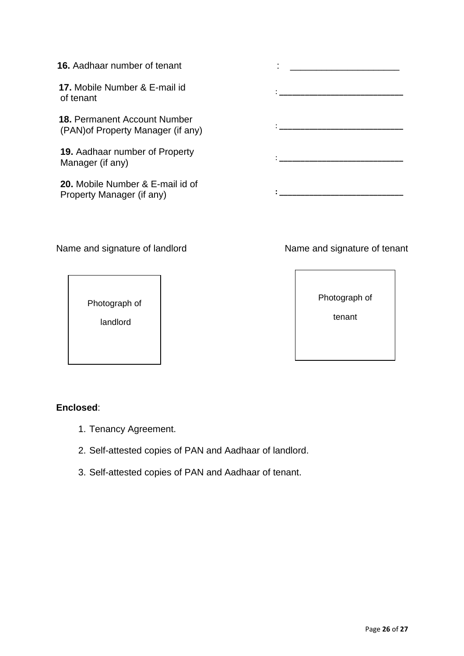### **16.** Aadhaar number of tenant

 **17.** Mobile Number & E-mail id of tenant

 **18.** Permanent Account Number (PAN)of Property Manager (if any)

**19.** Aadhaar number of Property Manager (if any)

**20.** Mobile Number & E-mail id of Property Manager (if any)

Name and signature of landlord Name and signature of tenant

Photograph of

landlord

### **Enclosed**:

- 1. Tenancy Agreement.
- 2. Self-attested copies of PAN and Aadhaar of landlord.
- 3. Self-attested copies of PAN and Aadhaar of tenant.

Photograph of

tenant

: **\_\_\_\_\_\_\_\_\_\_\_\_\_\_\_\_\_\_\_\_\_\_\_\_\_\_\_\_\_** : **\_\_\_\_\_\_\_\_\_\_\_\_\_\_\_\_\_\_\_\_\_\_\_\_\_\_\_\_\_** : **\_\_\_\_\_\_\_\_\_\_\_\_\_\_\_\_\_\_\_\_\_\_\_\_\_\_\_\_\_**

**: \_\_\_\_\_\_\_\_\_\_\_\_\_\_\_\_\_\_\_\_\_\_\_\_\_\_\_\_\_**

:  $\mathbf{r}$  and  $\mathbf{r}$  and  $\mathbf{r}$  and  $\mathbf{r}$  and  $\mathbf{r}$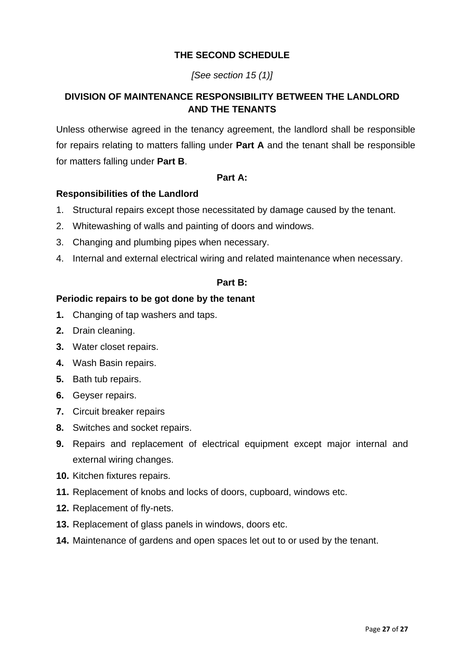### **THE SECOND SCHEDULE**

### *[See section 15 (1)]*

### **DIVISION OF MAINTENANCE RESPONSIBILITY BETWEEN THE LANDLORD AND THE TENANTS**

Unless otherwise agreed in the tenancy agreement, the landlord shall be responsible for repairs relating to matters falling under **Part A** and the tenant shall be responsible for matters falling under **Part B**.

### **Part A:**

### **Responsibilities of the Landlord**

- 1. Structural repairs except those necessitated by damage caused by the tenant.
- 2. Whitewashing of walls and painting of doors and windows.
- 3. Changing and plumbing pipes when necessary.
- 4. Internal and external electrical wiring and related maintenance when necessary.

#### **Part B:**

### **Periodic repairs to be got done by the tenant**

- **1.** Changing of tap washers and taps.
- **2.** Drain cleaning.
- **3.** Water closet repairs.
- **4.** Wash Basin repairs.
- **5.** Bath tub repairs.
- **6.** Geyser repairs.
- **7.** Circuit breaker repairs
- **8.** Switches and socket repairs.
- **9.** Repairs and replacement of electrical equipment except major internal and external wiring changes.
- **10.** Kitchen fixtures repairs.
- **11.** Replacement of knobs and locks of doors, cupboard, windows etc.
- **12.** Replacement of fly-nets.
- **13.** Replacement of glass panels in windows, doors etc.
- **14.** Maintenance of gardens and open spaces let out to or used by the tenant.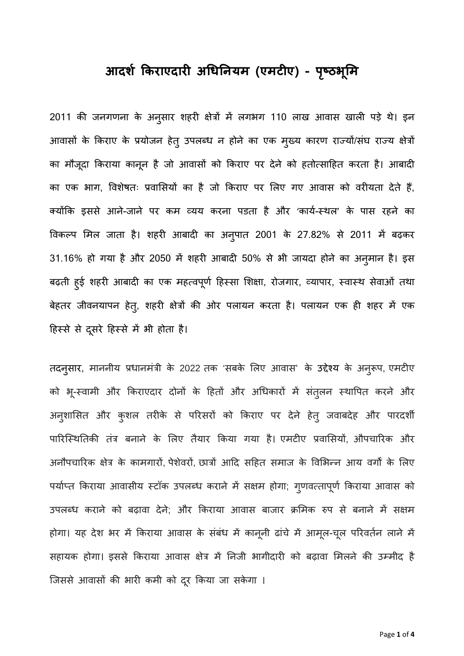# **आदशर् िकराएदारी अिधिनयम (एमटीए) - पçठभ ृ ू िम**

2011 की जनगणना के अनुसार शहरी क्षेत्रों में लगभग 110 लाख आवास खाली पड़े थे। इन आवासों के किराए के प्रयोजन हेतु उपलब्ध न होने का एक मुख्य कारण राज्यों/संघ राज्य क्षेत्रों का मौजूदा किराया कानून है जो आवासो को किराए पर देने को हतोत्साहित करता है। आबादी का एक भाग, विशेषतः प्रवासियों का है जो किराए पर लिए गए आवास को वरीयता देते हैं, क्योंकि इससे आने-जाने पर कम व्यय करना पडता है और 'कार्य-स्थल' के पास रहने का विकल्प मिल जाता है। शहरी आबादी का अनुपात 2001 के 27.82% से 2011 में बढ़कर 31.16% हो गया है और 2050 में शहरी आबादी 50% से भी जायदा होने का अनुमान है। इस बढ़ती हुई शहरी आबादी का एक महत्वपूर्ण हिस्सा शिक्षा, रोजगार, व्यापार, स्वास्थ सेवाओं तथा बेहतर जीवनयापन हेत्, शहरी क्षेत्रों की ओर पलायन करता है। पलायन एक ही शहर में एक हिस्से से दूसरे हिस्से में भी होता है।

तदनुसार, माननीय प्रधानमंत्री के 2022 तक 'सबके लिए आवास' के उद्देश्य के अनुरूप, एमटीए को भू-स्वामी और किराएदार दोनों के हितों और अधिकारों में सतुलन स्थापित करने और अनुशासित और कुशल तरीके से परिसरों को किराए पर देने हेतु जवाबदेह और पारदशी पारिस्थितिकी तंत्र बनाने के लिए तैयार किया गया है। एमटीए प्रवासियों, औपचारिक और अनौपचारिक क्षेत्र के कामगारों, पेशेवरों, छात्रों आदि सहित समाज के विभिन्न आय वर्गों के लिए पर्याप्त किराया आवासीय स्टॉक उपलब्ध कराने में सक्षम होगा; गुणवत्तापूर्ण किराया आवास को उपलब्ध कराने को बढ़ावा देने; और किराया आवास बाजार क्रमिक रुप से बनाने में सक्षम होगा। यह देश भर में किराया आवास के सबंध में कानूनी ढांचे में आमूल-चूल परिवर्तन लाने में सहायक होगा। इससे किराया आवास क्षेत्र में निजी भागीदारी को बढ़ावा मिलने की उम्मीद है जिससे आवासों की भारी कमी को दूर किया जा सकेगा ।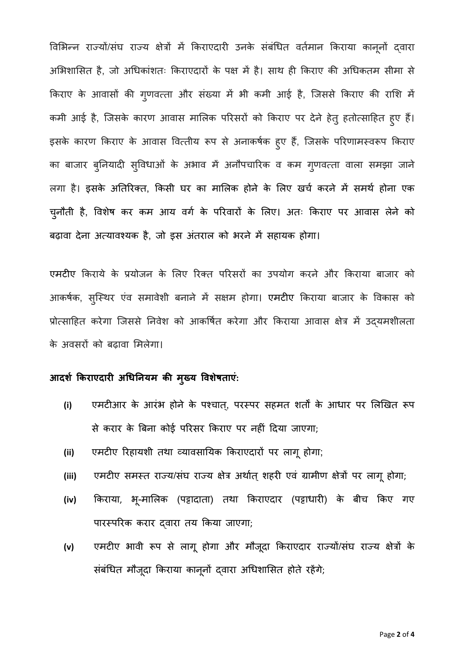विभिन्न राज्यो/संघ राज्य क्षेत्रों में किराएदारी उनके संबंधित वर्तमान किराया कानूनो द्वारा अभिशासित है, जो अधिकांशतः किराएदारों के पक्ष में है। साथ ही किराए की अधिकतम सीमा से किराए के आवासों की गुणवत्ता और सख्या में भी कमी आई है, जिससे किराए की राशि में कमी आई है, जिसके कारण आवास मालिक परिसरों को किराए पर देने हेतु हतोत्साहित हुए हैं। इसके कारण किराए के आवास वित्तीय रूप से अनाकर्षक हुए हैं, जिसके परिणामस्वरूप किराए का बाजार बुनियादी सुविधाओं के अभाव में अनौपचारिक व कम गुणवत्ता वाला समझा जाने लगा है। इसके अतिरिक्त, किसी घर का मालिक होने के लिए खर्च करने में समर्थ होना एक चुनौती है, विशेष कर कम आय वर्ग के परिवारो के लिए। अतः किराए पर आवास लेने को बढ़ावा देना अत्यावश्यक है, जो इस अंतराल को भरने में सहायक होगा।

एमटीए किराये के प्रयोजन के लिए रिक्त परिसरों का उपयोग करने और किराया बाजार को आकर्षक, सुस्थिर एंव समावेशी बनाने में सक्षम होगा। एमटीए किराया बाजार के विकास को प्रोत्साहित करेगा जिससे निवेश को आकर्षित करेगा और किराया आवास क्षेत्र में उद्यमशीलता के अवसरों को बढ़ावा मिलेगा।

### **आदशर् िकराएदारी अिधिनयम की मख्यु िवशेषताएं:**

- (i) एमटीआर के आरंभ होने के पश्चात्, परस्पर सहमत शर्तों के आधार पर लिखित रूप से करार के िबना कोई पिरसर िकराए पर नहीं िदया जाएगा;
- **(ii)** एमटीए िरहायशी तथा åयावसाियक िकराएदारɉ पर लागूहोगा;
- (iii) एमटीए समस्त राज्य/संघ राज्य क्षेत्र अर्थात् शहरी एवं ग्रामीण क्षेत्रों पर लागू होगा;
- **(iv)** िकराया, भू-मािलक (पट्टादाता) तथा िकराएदार (पट्टाधारी) के बीच िकए गए पारस्परिक करार दवारा तय किया जाएगा;
- (v) एमटीए भावी रूप से लागू होगा और मौजूदा किराएदार राज्यों/संघ राज्य क्षेत्रों के सर्बाधेत मौजूदा किराया कानूनो द्वारा अधिशासित होते रहेगे;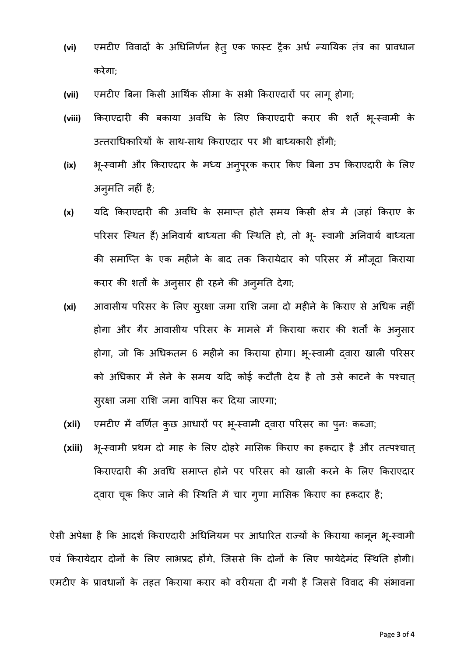- (vi) एमटीए विवादों के अधिनिर्णन हेत् एक फास्ट ट्रैक अर्ध न्यायिक तंत्र का प्रावधान करेगा;
- **(vii)** एमटीए िबना िकसी आिथकर् सीमा के सभी िकराएदारɉ पर लागूहोगा;
- (viii) किराएदारी की बकाया अवधि के लिए किराएदारी करार की शर्ते भू-स्वामी के उत्तराधिकारियों के साथ-साथ किराएदार पर भी बाध्यकारी होंगी;
- $(ix)$ -्स्वामी और किराएदार के मध्य अनुपूरक करार किए बिना उप किराएदारी के लिए अनु मित नहीं है;
- **(x)** यिद िकराएदारी की अविध के समाÜत होते समय िकसी क्षेत्र मɅ (जहां िकराए के परिसर स्थित हैं) अनिवार्य बाध्यता की स्थिति हो, तो भू- स्वामी अनिवार्य बाध्यता की समाप्ति के एक महीने के बाद तक किरायेदार को परिसर में मौजूदा किराया करार की शर्तों के अनुसार ही रहने की अनुमति देगा;
- **(xi)** आवासीय परिसर के लिए सुरक्षा जमा राशि जमा दो महीने के किराए से अधिक नहीं होगा और गैर आवासीय परिसर के मामले में किराया करार की शर्तों के अनुसार होगा, जो कि अधिकतम 6 महीने का किराया होगा। भू-स्वामी द्वारा खाली परिसर को अधिकार में लेने के समय यदि कोई कटौती देय है तो उसे काटने के पश्चात् सरक्षा ु जमा रािश जमा वािपस कर िदया जाएगा;
- **(xii)** एमटीए मɅ विणतर् कुछ आधारɉ पर भ- ूèवामी ɮवारा पिरसर का पु नः कÞजा;
- $(xiii)$ भू-स्वामी प्रथम दो माह के लिए दोहरे मासिक किराए का हकदार है और तत्पश्चात् किराएदारी की अवधि समाप्त होने पर परिसर को खाली करने के लिए किराएदार द्वारा चूक किए जाने की स्थिति में चार गुणा मासिक किराए का हकदार है;

ऐसी अपेक्षा है कि आदर्श किराएदारी अधिनियम पर आधारित राज्यों के किराया कानून भू-स्वामी एवं किरायेदार दोनों के लिए लाभप्रद होंगे, जिससे कि दोनों के लिए फायेदेमंद स्थिति होगी। एमटीए के प्रावधानों के तहत किराया करार को वरीयता दी गयी है जिससे विवाद की संभावना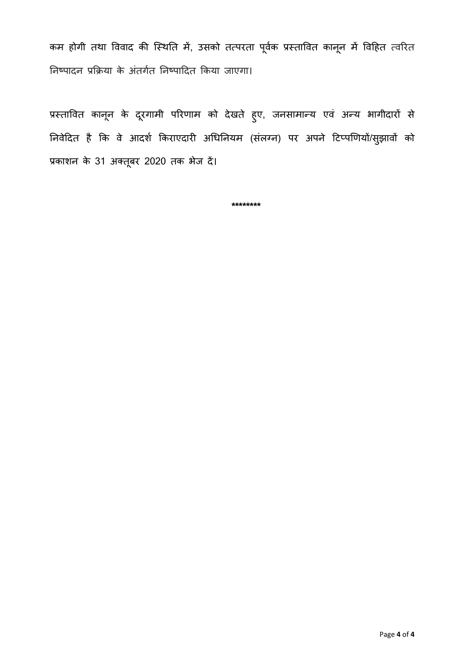कम होगी तथा विवाद की स्थिति में, उसको तत्परता पूर्वक प्रस्तावित कानून में विहित त्वरित निष्पादन प्रक्रिया के अंतर्गत निष्पादित किया जाएगा।

प्रस्तावित कानून के दूरगामी परिणाम को देखते हुए, जनसामान्य एव अन्य भागीदारो से निवेदित है कि वे आदर्श किराएदारी अधिनियम (संलग्न) पर अपने टिप्पणियों/सुझावों को प्रकाशन के 31 अक्तूबर 2020 तक भेज दे।

**\*\*\*\*\*\*\*\***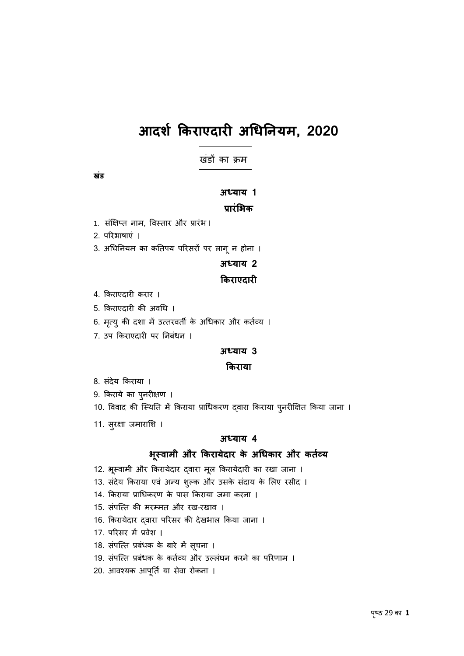# **आदशर् िकराएदारी अिधिनयम, 2020**

खंडों का क्रम

**खडं**

#### **अÚयाय 1**

### **प्रारंिभक**

- 1. संक्षिप्त नाम, विस्तार और प्रारंभ ।
- 2. पिरभाषाएं ।
- 3. अधिनियम का कतिपय परिसरों पर लागू न होना ।

#### **अÚयाय 2**

#### **िकराएदारी**

- 4. िकराएदारी करार ।
- 5. िकराएदारी की अविध ।
- 6. मृत्यु की दशा में उत्तरवर्ती के अधिकार और कर्तव्य ।
- 7. उप िकराएदारी पर िनबंधन ।

#### **अÚयाय 3**

#### **िकराया**

- 8. संदेय किराया ।
- 9. किराये का पुनरीक्षण ।
- 10. विवाद की स्थिति में किराया प्राधिकरण द्वारा किराया प्*नरीक्षित किया जाना ।*
- 11. सुरक्षा जमाराशि ।

#### **अÚयाय 4**

#### **भèवामी ू और िकरायेदार के अिधकार और कतåयर्**

- 12. भूस्वामी और किरायेदार द्वारा मूल किरायेदारी का रखा जाना ।
- 13. संदेय किराया एवं अन्य शुल्क और उसके संदाय के लिए रसीद ।
- 14. िकराया प्रािधकरण के पास िकराया जमा करना ।
- 15. संपत्ति की मरम्मत और रख-रखाव ।
- 16. किरायेदार द्वारा परिसर की देखभाल किया जाना ।
- 17. परिसर में प्रवेश ।
- 18. सर्पात्त प्रबंधक के बारे में सूचना ।
- 19. संपत्ति प्रबंधक के कर्तव्य और उल्लंघन करने का परिणाम ।
- 20. आवश्यक आपूर्ति या सेवा रोकना ।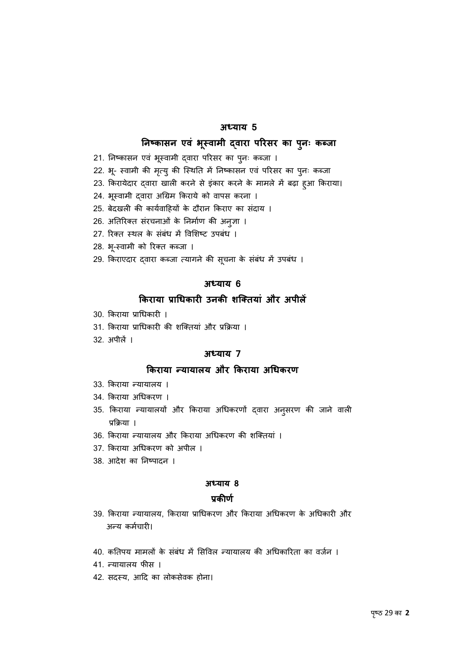#### **अÚयाय 5**

#### **िनçकासन एवं भèवामी ू ɮवारा पिरसर का पु नः कÞजा**

- 21. निष्कासन एवं भूस्वामी द्वारा परिसर का पुनः कब्जा ।
- 22. भू- स्वामी की मृत्यु की स्थिति में निष्कासन एवं परिसर का पुनः कब्जा
- 23. किरायेदार द्वारा खाली करने से इकार करने के मामले में बढ़ा हुआ किराया।
- 24. भूस्वामी द्वारा अग्रिम किराये को वापस करना ।
- 25. बेदखली की कार्यवाहियों के दौरान किराए का संदाय ।
- 26. अतिरिक्त सरचनाओं के निर्माण की अनुज्ञा ।
- 27. रिक्त स्थल के संबंध में विशिष्ट उपबंध ।
- 28. भू-स्वामी को रिक्त कब्जा ।
- 29. किराएदार द्वारा कब्जा त्यागने की सूचना के संबंध में उपबंध ।

#### **अÚयाय 6**

### **िकराया प्रािधकारी उनकी शिक्तयां और अपीलɅ**

- 30. िकराया प्रािधकारी ।
- 31. िकराया प्रािधकारी की शिक्तयां और प्रिक्रया ।
- $32 \times 10^2$  ।

#### **अÚयाय 7**

#### **िकराया Ûयायालय और िकराया अिधकरण**

- 33. किराया न्यायालय ।
- 34. िकराया अिधकरण ।
- 35. किराया न्यायालयो और किराया अधिकरणो द्वारा अनुसरण की जाने वाली प्रिक्रया ।
- 36. किराया न्यायालय और किराया अधिकरण की शक्तियां ।
- 37. िकराया अिधकरण को अपील ।
- 38. आदेश का निष्पादन ।

#### **अÚयाय 8**

#### **प्रकीणर्**

- 39. किराया न्यायालय, किराया प्राधिकरण और किराया अधिकरण के अधिकारी और अन्य कर्मचारी।
- 40. कतिपय मामलों के संबंध में सिविल न्यायालय की अधिकारिता का वर्जन ।
- 41. न्यायालय फीस ।
- 42. सदस्य, आदि का लोकसेवक होना।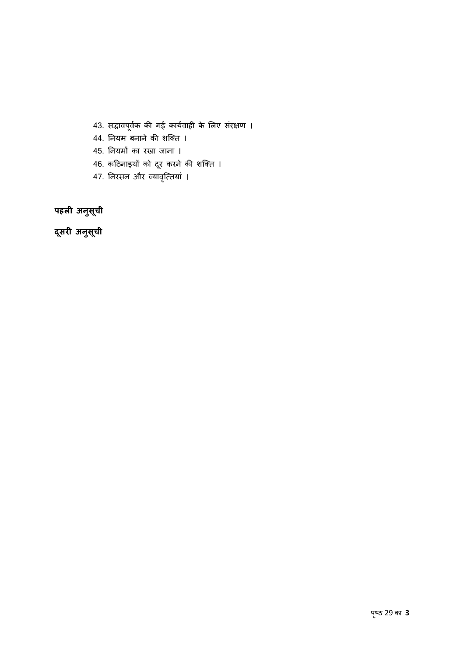- 43. सद्भावपूर्वक की गई कार्यवाही के लिए संरक्षण ।
- 44. िनयम बनाने की शिक्त ।
- 45. िनयमɉ का रखा जाना ।
- 46. कठिनाइयों को दूर करने की शक्ति ।
- 47. निरसन और व्यावृत्तियां ।

**पहली अनसु ू ची**

**दसरी ू अनु सू ची**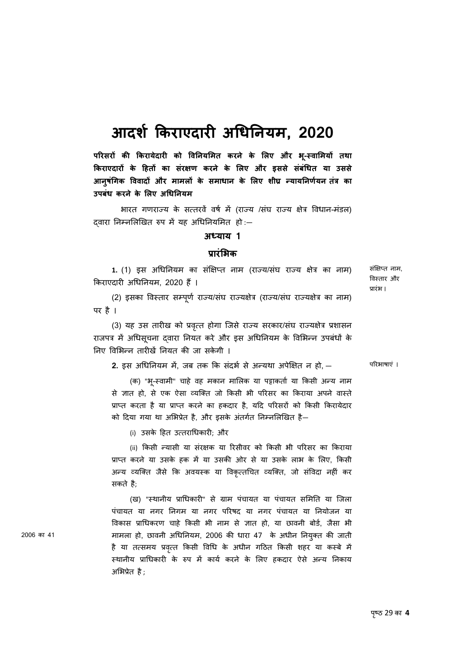# **आदशर् िकराएदारी अिधिनयम, 2020**

**पिरसरɉ की िकरायेदारी को िविनयिमत करने के िलए और भ- ूèवािमयɉ तथा िकराएदारɉ के िहतɉ का सरक्षण ं करने के िलए और इससे सबं िधत ं या उससे आनु षिगक ं िववादɉ और मामलɉ के समाधान के िलए शीघ्र Ûयायिनणयनर् तंत्र का उपबधं करने के िलए अिधिनयम**

भारत गणराज्य के सत्तरवें वर्ष में (राज्य /संघ राज्य क्षेत्र विधान-मंडल) दवारा निम्नलिखित रुप में यह अधिनियमित हो :-

#### **अÚयाय 1**

#### **प्रारंिभक**

1. (1) इस अधिनियम का संक्षिप्त नाम (राज्य/संघ राज्य क्षेत्र का नाम) किराएदारी अधिनियम, 2020 हैं।

संक्षिप्त नाम, िवèतार और प्रारंभ ।

(2) इसका विस्तार सम्पूर्ण राज्य/संघ राज्यक्षेत्र (राज्य/संघ राज्यक्षेत्र का नाम) पर है ।

(3) यह उस तारीख को प्रवृत्त होगा जिसे राज्य सरकार/संघ राज्यक्षेत्र प्रशासन राजपत्र में अधिसूचना दवारा नियत करें और इस अधिनियम के विभिन्न उपबंधों के निए विभिन्न तारीखें नियत की जा सकेगी ।

**2.** इस अधिनियम में, जब तक कि संदर्भ से अन्यथा अपेक्षित न हो, —

पिरभाषाएं ।

(क) "भू-स्वामी" चाहे वह मकान मालिक या पट्टाकर्ता या किसी अन्य नाम से ज्ञात हो, से एक ऐसा व्यक्ति जो किसी भी परिसर का किराया अपने वास्ते प्राप्त करता है या प्राप्त करने का हकदार है, यदि परिसरों को किसी किरायेदार को दिया गया था अभिप्रेत है, और इसके अंतर्गत निम्नलिखित है—

(i) उसके िहत उ×तरािधकारी; और

(ii) किसी न्यासी या संरक्षक या रिसीवर को किसी भी परिसर का किराया प्राप्त करने या उसके हक में या उसकी ओर से या उसके लाभ के लिए, किसी अन्य व्यक्ति जैसे कि अवयस्क या विकृत्तचित व्यक्ति, जो संविदा नहीं कर सकते है;

(ख) "èथानीय प्रािधकारी" से ग्राम पंचायत या पंचायत सिमित या िजला पंचायत या नगर िनगम या नगर पिरषद या नगर पंचायत या िनयोजन या िवकास प्रािधकरण चाहे िकसी भी नाम से ज्ञात हो, या छावनी बोड, र् जैसा भी मामला हो, छावनी अधिनियम, 2006 की धारा 47 के अधीन नियुक्त की जाती है या तत्समय प्रवृत्त किसी विधि के अधीन गठित किसी शहर या कस्बे में स्थानीय प्राधिकारी के रुप में कार्य करने के लिए हकदार ऐसे अन्य निकाय अिभप्रेत है;

2006 का 41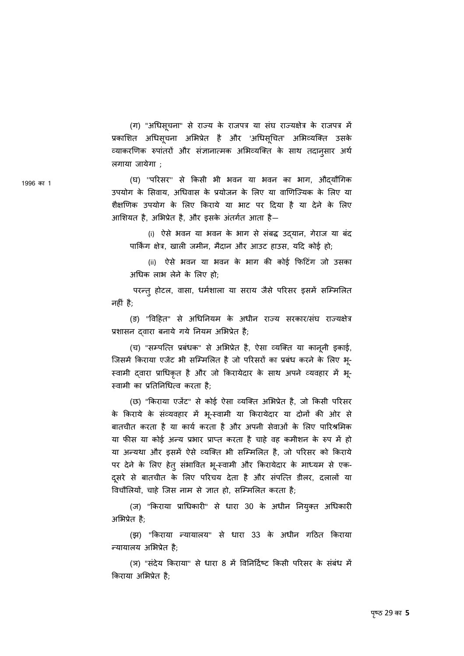(ग) "अधिसूचना" से राज्य के राजपत्र या सघ राज्यक्षेत्र के राजपत्र मे प्रकाशित अधिसूचना अभिप्रेत है और 'अधिसूचित' अभिव्यक्ति उसके व्याकरणिक रुपातरो और संज्ञानात्मक अभिव्यक्ति के साथ तदानुसार अर्थ लगाया जायेगा ;

(घ) ''परिसर'' से किसी भी भवन या भवन का भाग, औदयौगिक उपयोग के सिवाय, अधिवास के प्रयोजन के लिए या वाणिज्यिक के लिए या शैक्षणिक उपयोग के लिए किराये या भाट पर दिया है या देने के लिए आिशयत है, अिभप्रेत है, और इसके अंतगतर् आता है—

(i) ऐसे भवन या भवन के भाग से संबद्ध उद्यान, गेराज या बंद पािकर्ंग क्षेत्र, खाली जमीन, मैदान और आउट हाउस, यिद कोई हो;

(ii) ऐसे भवन या भवन के भाग की कोई िफिटगं जो उसका अिधक लाभ लेने के िलए हो;

परन्तु होटल, वासा, धर्मशाला या सराय जैसे परिसर इसमें सम्मिलित नहीं है;

(ङ) "विहित" से अधिनियम के अधीन राज्य सरकार/संघ राज्यक्षेत्र प्रशासन दवारा बनाये गये नियम अभिप्रेत है;

(च) "सम्पत्ति प्रबंधक" से अभिप्रेत है, ऐसा व्यक्ति या कानूनी इकाई, जिसमें किराया एजेंट भी सम्मिलित है जो परिसरों का प्रबंध करने के लिए भू-स्वामी दवारा प्राधिकृत है और जो किरायेदार के साथ अपने व्यवहार में भू-स्वामी का प्रतिनिधित्व करता है:

(छ) "किराया एजेंट" से कोई ऐसा व्यक्ति अभिप्रेत है, जो किसी परिसर के किराये के सव्यवहार में भू-स्वामी या किरायेदार या दोनों की ओर से बातचीत करता है या कार्य करता है और अपनी सेवाओं के लिए पारिश्रमिक या फीस या कोई अन्य प्रभार प्राप्त करता है चाहे वह कमीशन के रुप में हो या अन्यथा और इसमें ऐसे व्यक्ति भी सम्मिलित है, जो परिसर को किराये पर देने के लिए हेतु संभावित भू-स्वामी और किरायेदार के माध्यम से एक-दुसरे से बातचीत के लिए परिचय देता है और संपत्ति डीलर, दलालों या िवचौिलयɉ, चाहे िजस नाम से ज्ञात हो, सिàमिलत करता है;

(ज) "किराया प्राधिकारी" से धारा 30 के अधीन नियुक्त अधिकारी अिभप्रेत है;

(झ) "किराया न्यायालय" से धारा 33 के अधीन गठित किराया Ûयायालय अिभप्रेत है;

(ञ) "संदेय किराया" से धारा 8 में विनिर्दिष्ट किसी परिसर के संबंध में िकराया अिभप्रेत है;

1996 का 1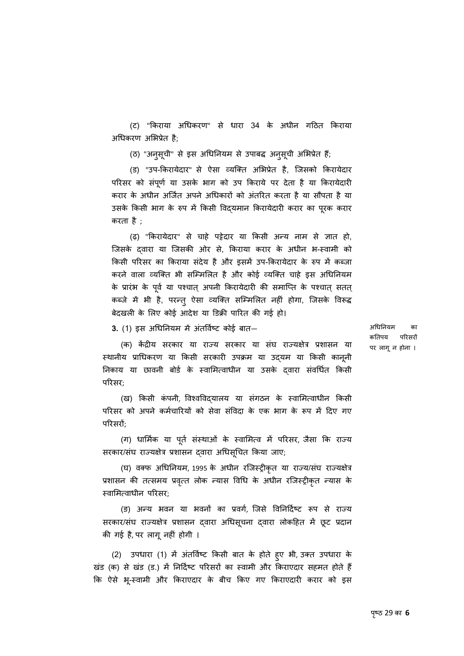(ट) "िकराया अिधकरण" से धारा 34 के अधीन गिठत िकराया अधिकरण अभिप्रेत है;

(ठ) "अनुसूची" से इस अधिनियम से उपाबद्ध अनुसूची अभिप्रेत हैं;

(ड) "उप-किरायेदार" से ऐसा व्यक्ति अभिप्रेत है, जिसको किरायेदार परिसर को संपूर्ण या उसके भाग को उप किराये पर देता है या किरायेदारी करार के अधीन अर्जित अपने अधिकारों को अंतरित करता है या सौपता है या उसके किसी भाग के रुप में किसी विदयमान किरायेदारी करार का पूरक करार करता है ;

(ढ़) "किरायेदार" से चाहे पट्टेदार या किसी अन्य नाम से ज्ञात हो, िजसके ɮवारा या िजसकी ओर से, िकराया करार के अधीन भ-èवामी को किसी परिसर का किराया संदेय है और इसमें उप-किरायेदार के रुप में कब्जा करने वाला व्यक्ति भी सम्मिलित है और कोई व्यक्ति चाहे इस अधिनियम के प्रारंभ के पूर्व या पश्चात् अपनी किरायेदारी की समाप्ति के पश्चात् सतत् कब्जे में भी है, परन्तु ऐसा व्यक्ति सम्मिलित नहीं होगा, जिसके विरूद्ध बेदखली के िलए कोई आदेश या िडक्री पािरत की गई हो।

**3.** (1) इस अधिनियम में अंतर्विष्ट कोई बात–

अिधिनयम का कतिपय परिसरों पर लागून होना ।

(क) केंद्रीय सरकार या राज्य सरकार या संघ राज्यक्षेत्र प्रशासन या स्थानीय प्राधिकरण या किसी सरकारी उपक्रम या उद्यम या किसी कानूनी निकाय या छावनी बोर्ड के स्वामित्वाधीन या उसके दवारा संवर्धित किसी पिरसर;

(ख) किसी कंपनी, विश्वविदयालय या संगठन के स्वामित्वाधीन किसी परिसर को अपने कर्मचारियों को सेवा संविदा के एक भाग के रूप में दिए गए परिसरों:

(ग) धार्मिक या पूर्ते संस्थाओं के स्वामित्व में परिसर, जैसा कि राज्य सरकार/संघ राज्यक्षेत्र प्रशासन दवारा अधिसूचित किया जाए;

(घ) वक्फ अधिनियम, 1995 के अधीन रजिस्ट्रीकृत या राज्य/संघ राज्यक्षेत्र प्रशासन की तत्समय प्रवृत्त लोक न्यास विधि के अधीन रजिस्ट्रीकृत न्यास के èवािम×वाधीन पिरसर;

(ङ) अन्य भवन या भवनों का प्रवर्ग, जिसे विनिर्दिष्ट रूप से राज्य सरकार/संघ राज्यक्षेत्र प्रशासन द्वारा अधिसूचना द्वारा लोकहित मे छूट प्रदान की गई है, पर लागूनहीं होगी ।

(2) उपधारा (1) में अंतविष्ट किसी बात के होते हुए भी, उक्त उपधारा के खंड (क) से खंड (ड.) में निर्दिष्ट परिसरों का स्वामी और किराएदार सहमत होते हैं िक ऐसे भू-èवामी और िकराएदार के बीच िकए गए िकराएदारी करार को इस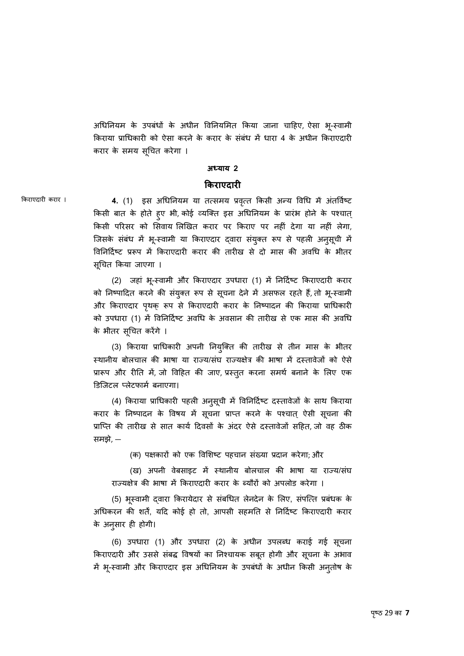अधिनियम के उपबंधों के अधीन विनियमित किया जाना चाहिए, ऐसा भू-स्वामी किराया प्राधिकारी को ऐसा करने के करार के संबंध में धारा 4 के अधीन किराएदारी करार के समय सूचित करेगा ।

#### **अÚयाय 2**

#### **िकराएदारी**

किराएदारी करार । **4.** (1) इस अधिनियम या तत्समय प्रवृत्त किसी अन्य विधि में अंतर्विष्ट किसी बात के होते हुए भी, कोई व्यक्ति इस अधिनियम के प्रारंभ होने के पश्चात् िकसी पिरसर को िसवाय िलिखत करार पर िकराए पर नहीं देगा या नहीं लेगा, जिसके सबंध में भू-स्वामी या किराएदार द्वारा सयुक्त रूप से पहली अनुसूची में विनिर्दिष्ट प्ररूप में किराएदारी करार की तारीख से दो मास की अवधि के भीतर सूचित किया जाएगा ।

> (2) जहां भू-स्वामी और किराएदार उपधारा (1) में निर्दिष्ट किराएदारी करार को निष्पादित करने की सयुक्त रूप से सूचना देने में असफल रहते हैं, तो भू-स्वामी और किराएदार पृथक् रूप से किराएदारी करार के निष्पादन की किराया प्राधिकारी को उपधारा (1) में विनिर्दिष्ट अवधि के अवसान की तारीख से एक मास की अवधि के भीतर सूचित करेंगे ।

> (3) िकराया प्रािधकारी अपनी िनयुिक्त की तारीख से तीन मास के भीतर स्थानीय बोलचाल की भाषा या राज्य/संघ राज्यक्षेत्र की भाषा में दस्तावेजों को ऐसे प्रारूप और रीति में, जो विहित की जाए, प्रस्तुत करना समर्थ बनाने के लिए एक िडिजटल Üलेटफामर् बनाएगा।

> (4) किराया प्राधिकारी पहली अनुसूची में विनिर्दिष्ट दस्तावेजों के साथ किराया करार के निष्पादन के विषय में सूचना प्राप्त करने के पश्चात् ऐसी सूचना की प्राप्ति की तारीख से सात कार्य दिवसों के अंदर ऐसे दस्तावेजों सहित, जो वह ठीक समझे, —

> > (क) पक्षकारों को एक विशिष्ट पहचान संख्या प्रदान करेगा; और

(ख) अपनी वेबसाइट में स्थानीय बोलचाल की भाषा या राज्य/संघ राज्यक्षेत्र की भाषा में किराएदारी करार के ब्यौरों को अपलोड करेगा ।

(5) भूस्वामी द्वारा किरायेदार से सबर्धित लेनदेन के लिए, सपोत्ते प्रबंधक के अधिकरन की शर्तें, यदि कोई हो तो, आपसी सहमति से निर्दिष्ट किराएदारी करार के अनुसार ही होगी।

(6) उपधारा (1) और उपधारा (2) के अधीन उपलÞध कराई गई सचना ू किराएदारी और उससे सबद्ध विषयों का निश्चायक सबूत होगी और सूचना के अभाव में भू-स्वामी और किराएदार इस अधिनियम के उपबधों के अधीन किसी अनुतोष के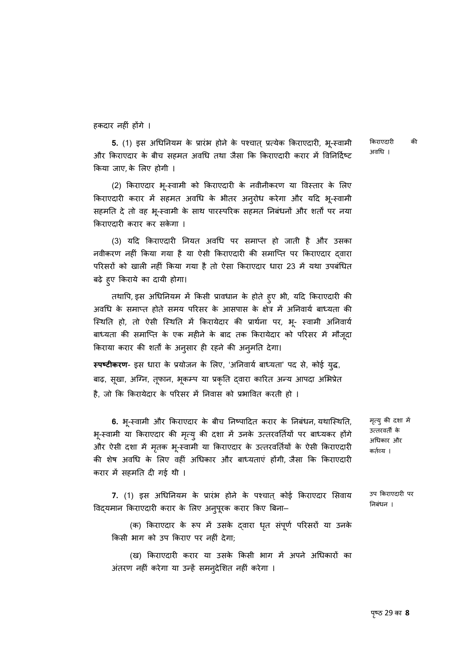हकदार नहीं होंगे ।

**5.** (1) इस अधिनियम के प्रारंभ होने के पश्चात् प्रत्येक किराएदारी, भू-स्वामी और किराएदार के बीच सहमत अवधि तथा जैसा कि किराएदारी करार में विनिर्दिष्ट िकया जाए, के िलए होगी ।

(2) किराएदार भू-स्वामी को किराएदारी के नवीनीकरण या विस्तार के लिए किराएदारी करार में सहमत अवधि के भीतर अनुरोध करेगा और यदि भू-स्वामी सहमति दे तो वह भू-स्वामी के साथ पारस्परिक सहमत निबंधनों और शर्तों पर नया िकराएदारी करार कर सकेगा ।

(3) यदि किराएदारी नियत अवधि पर समाप्त हो जाती है और उसका नवीकरण नहीं किया गया है या ऐसी किराएदारी की समाप्ति पर किराएदार दवारा परिसरों को खाली नहीं किया गया है तो ऐसा किराएदार धारा 23 में यथा उपबंधित बढ़े हु ए िकराये का दायी होगा।

तथापि, इस अधिनियम में किसी प्रावधान के होते हुए भी, यदि किराएदारी की अवधि के समाप्त होते समय परिसर के आसपास के क्षेत्र में अनिवार्य बाध्यता की स्थिति हो, तो ऐसी स्थिति में किरायेदार की प्रार्थना पर, भू- स्वामी अनिवार्य बाध्यता की समाप्ति के एक महीने के बाद तक किरायेदार को परिसर में मौजूदा किराया करार की शर्तों के अनुसार ही रहने की अनुमति देगा।

**स्पष्टीकरण**- इस धारा के प्रयोजन के लिए, 'अनिवाये बाध्यता' पद से, कोई युद्ध, बाढ़, सूखा, अग्नि, तूफान, भूकम्प या प्रकृति द्वारा कारित अन्य आपदा अभिप्रेत है, जो कि किरायेदार के परिसर में निवास को प्रभावित करती हो ।

**6.** भू-स्वामी और किराएदार के बीच निष्पादित करार के निबधन, यथास्थिति, भू-स्वामी या किराएदार की मृत्यु की दशा में उनके उत्तरवर्तियों पर बाध्यकर होंगे और ऐसी दशा में मृतक भू-स्वामी या किराएदार के उत्तरवर्तियों के ऐसी किराएदारी की शेष अवधि के लिए वहीं अधिकार और बाध्यताएं होंगी, जैसा कि किराएदारी करार में सहमति दी गई थी । उत्तरवर्ती के अिधकार और कर्तव्य ।

मृत्यु की दशा में

उप िकराएदारी पर िनबंधन ।

**7.** (1) इस अिधिनयम के प्रारंभ होने के पæचात् कोई िकराएदार िसवाय विद्यमान किराएदारी करार के लिए अनुपूरक करार किए बिना–

(क) किराएदार के रूप में उसके दवारा धृत संपूर्ण परिसरों या उनके िकसी भाग को उप िकराए पर नहीं देगा;

(ख) किराएदारी करार या उसके किसी भाग में अपने अधिकारों का अतरण नहीं करेगा या उन्हें समनुर्देशित नहीं करेगा ।

िकराएदारी की अविध ।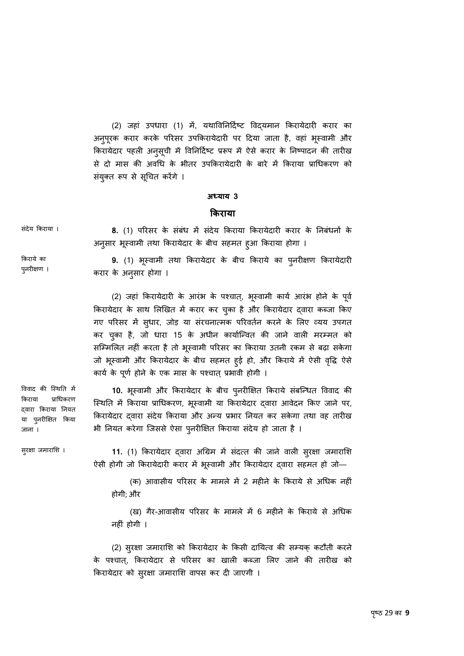(2) जहां उपधारा (1) में, यथाविनिर्दिष्ट विदयमान किरायेदारी करार का अनु पू रक करार करके पिरसर उपिकरायेदारी पर िदया जाता है, वहां भू èवामी और किरायेदार पहली अनुसूची में विनिदिष्ट प्ररूप में ऐसे करार के निष्पादन की तारीख से दो मास की अवधि के भीतर उपकिरायेदारी के बारे में किराया प्राधिकरण को सयुक्त रूप से सूचित करेंगे ।

#### **अÚयाय 3**

#### **िकराया**

| संदेय किराया ।           | 8. (1) परिसर के संबंध में संदेय किराया किरायेदारी करार के निबंधनों के                        |
|--------------------------|----------------------------------------------------------------------------------------------|
|                          | अन्सार भूस्वामी तथा किरायेदार के बीच सहमत हुआ किराया होगा ।                                  |
| किराये का<br>पुनरीक्षण । | 9. (1) भूस्वामी तथा किरायेदार के बीच किराये का पुनरीक्षण किरायेदारी<br>करार के अनुसार होगा । |
|                          |                                                                                              |

(2) जहां किरायेदारी के आरंभ के पश्चात्, भूस्वामी काये आरंभ होने के पूर्व किरायेदार के साथ लिखित में करार कर चुका है और किरायेदार द्वारा कब्जा किए गए परिसर में सुधार, जोड़ या संरचनात्मक परिवर्तन करने के लिए व्यय उपगत कर चुका है, जो धारा 15 के अधीन कार्योन्वित की जाने वाली मरम्मत को सम्मिलित नहीं करता है तो भूस्वामी परिसर का किराया उतनी रकम से बढ़ा सकेगा जो भूस्वामी और किरायेदार के बीच सहमत हुई हो, और किराये में ऐसी वृद्धि ऐसे कार्य के पूर्ण होने के एक मास के पश्चात् प्रभावी होगी ।

10. भूस्वामी और किरायेदार के बीच पुनरीक्षित किराये सबन्धित विवाद की स्थिति में किराया प्राधिकरण, भूस्वामी या किरायेदार द्वारा आवेदन किए जाने पर, किरायेदार दवारा संदेय किराया और अन्य प्रभार नियत कर सकेगा तथा वह तारीख भी नियत करेगा जिससे ऐसा पुनरीक्षित किराया सदेय हो जाता है ।

सुरक्षा जमाराशि ।

जाना ।

विवाद की स्थिति में िकराया प्रािधकरण ɮवारा िकराया िनयत या पु नरीिक्षत िकया

रक्षा जमाराशि । **11.** (1) किरायेदार द्**वारा अग्रिम में संदत्त्त की जाने वाली सुरक्षा** जमाराशि ऐसी होगी जो किरायेदारी करार में भूस्वामी और किरायेदार द्वारा सहमत हो जो—

> (क) आवासीय परिसर के मामले में 2 महीने के किराये से अधिक नहीं होगी; और

> (ख) गैर-आवासीय परिसर के मामले में 6 महीने के किराये से अधिक नहीं होगी ।

(2) सुरक्षा जमाराशि को किरायेदार के किसी दायित्व की सम्यक् कटौती करने के पश्चात्, किरायेदार से परिसर का खाली कब्जा लिए जाने की तारीख को किरायेदार को सुरक्षा जमाराशि वापस कर दी जाएगी ।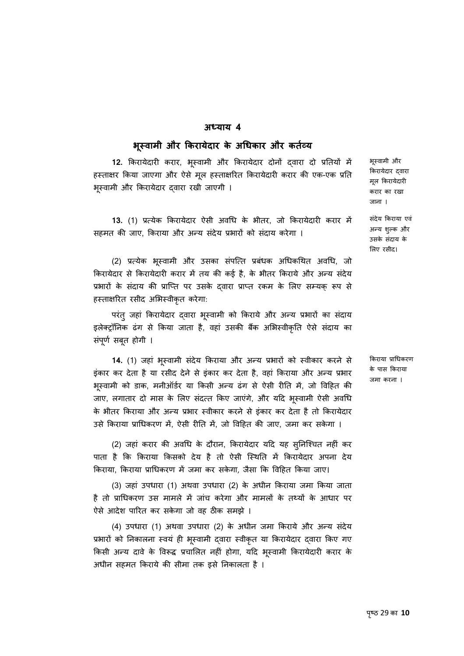#### **अÚयाय 4**

#### **भू èवामी और िकरायेदार के अिधकार और कतåयर्**

**12.** किरायेदारी करार, भूस्वामी और किरायेदार दोनों द्**वारा दो प्रतियों** में हस्ताक्षर किया जाएगा और ऐसे मूल हस्ताक्षरित किरायेदारी करार की एक-एक प्रति भूस्वामी और किरायेदार द्वारा रखी जाएगी ।

13. (1) प्रत्येक किरायेदार ऐसी अवधि के भीतर, जो किरायेदारी करार में सहमत की जाए, किराया और अन्य संदेय प्रभारों को संदाय करेगा ।

(2) प्रत्येक भूस्वामी और उसका सपोत्त प्रबंधक अधिकथित अवधि, जो किरायेदार से किरायेदारी करार में तय की कई है, के भीतर किराये और अन्य संदेय प्रभारों के संदाय की प्राप्ति पर उसके दवारा प्राप्त रकम के लिए सम्यक रूप से हस्ताक्षरित रसीद अभिस्वीकृत करेगा:

परंतु जहां किरायेदार द्वारा भूस्वामी को किराये और अन्य प्रभारों का सदाय इलेक्ट्रॉनिक ढंग से किया जाता है, वहां उसकी बैंक अभिस्वीकृति ऐसे संदाय का संपूर्ण सबूत होगी ।

**14.** (1) जहां भूस्वामी सदेय किराया और अन्य प्रभारों को स्वीकार करने से इंकार कर देता है या रसीद देने से इंकार कर देता है, वहां किराया और अन्य प्रभार भूस्वामी को डाक, मनीऑर्डर या किसी अन्य ढंग से ऐसी रीति में, जो विहित की जाए, लगातार दो मास के लिए सदत्त किए जाएंगे, और यदि भूस्वामी ऐसी अवधि के भीतर किराया और अन्य प्रभार स्वीकार करने से इंकार कर देता है तो किरायेदार उसे किराया प्राधिकरण में, ऐसी रीति में, जो विहित की जाए, जमा कर सकेगा ।

(2) जहां करार की अवधि के दौरान, किरायेदार यदि यह सुनिश्चित नहीं कर पाता है कि किराया किसको देय है तो ऐसी स्थिति में किरायेदार अपना देय किराया, किराया प्राधिकरण में जमा कर सकेगा, जैसा कि विहित किया जाए।

(3) जहां उपधारा (1) अथवा उपधारा (2) के अधीन िकराया जमा िकया जाता है तो प्राधिकरण उस मामले में जांच करेगा और मामलों के तथ्यों के आधार पर ऐसे आदेश पािरत कर सकेगा जो वह ठीक समझे ।

(4) उपधारा (1) अथवा उपधारा (2) के अधीन जमा किराये और अन्य संदेय प्रभारों को निकालना स्वयं ही भूस्वामी द्वारा स्वीकृत या किरायेदार द्वारा किए गए किसी अन्य दावे के विरूद्ध प्रचालित नहीं होगा, यदि भूस्वामी किरायेदारी करार के अधीन सहमत िकराये की सीमा तक इसे िनकालता है ।

िकरायेदार ɮवारा मू ल िकरायेदारी करार का रखा जाना ।

भू èवामी और

संदेय िकराया एवं अन्य शुल्क और उसके संदाय के िलए रसीद।

िकराया प्रािधकरण के पास िकराया जमा करना ।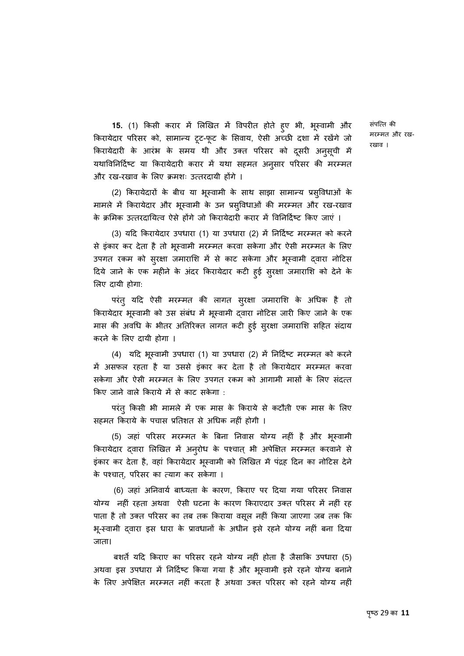**15.** (1) किसी करार में लिखित में विपरीत होते हुए भी, भूस्वामी और किरायेदार परिसर को, सामान्य टूट-फूट के सिवाय, ऐसी अच्छी दशा में रखेंगे जो किरायेदारी के आरंभ के समय थी और उक्त परिसर को दूसरी अनुसूची मे यथाविनिर्दिष्ट या किरायेदारी करार में यथा सहमत अनुसार परिसर की मरम्मत और रख-रखाव के लिए क्रमशः उत्तरदायी होंगे ।

(2) किरायेदारों के बीच या भूस्वामी के साथ साझा सामान्य प्रसुविधाओं के मामले में किरायेदार और भूस्वामी के उन प्रसुविधाओं की मरम्मत और रख-रखाव के क्रमिक उत्तरदायित्व ऐसे होंगे जो किरायेदारी करार में विनिर्दिष्ट किए जाएं ।

(3) यदि किरायेदार उपधारा (1) या उपधारा (2) में निर्दिष्ट मरम्मत को करने से इकार कर देता है तो भूस्वामी मरम्मत करवा सकेगा और ऐसी मरम्मत के लिए उपगत रकम को सुरक्षा जमाराशि में से काट सकेगा और भूस्वामी द्वारा नोटिस दिये जाने के एक महीने के अदर किरायेदार कटी हुई सुरक्षा जमाराशि को देने के िलए दायी होगा:

परंतु यदि ऐसी मरम्मत की लागत सुरक्षा जमाराशि के अधिक है तो किरायेदार भूस्वामी को उस सबंध में भूस्वामी द्वारा नोटिस जारी किए जाने के एक मास की अवधि के भीतर अतिरिक्त लागत कटी हुई सुरक्षा जमाराशि सहित सदाय करने के िलए दायी होगा ।

(4) यदि भूस्वामी उपधारा (1) या उपधारा (2) में निर्दिष्ट मरम्मत को करने में असफल रहता है या उससे इंकार कर देता है तो किरायेदार मरम्मत करवा सकेगा और ऐसी मरम्मत के लिए उपगत रकम को आगामी मासों के लिए संदत्त किए जाने वाले किराये में से काट सकेगा :

परंतु किसी भी मामले में एक मास के किराये से कटौती एक मास के लिए सहमत िकराये के पचास प्रितशत से अिधक नहीं होगी ।

(5) जहां परिसर मरम्मत के बिना निवास योग्य नहीं है और भूस्वामी ू किरायेदार द्वारा लिखित में अन्**रोध के पश्चात् भी अपेक्षित मरम्मत करवाने** से इकार कर देता है, वहां किरायेदार भूस्वामी को लिखित में पद्रह दिन का नोटिस देने के पश्चात्, परिसर का त्याग कर सकेगा ।

(6) जहां अनिवार्य बाध्यता के कारण, किराए पर दिया गया परिसर निवास योग्य नहीं रहता अथवा ऐसी घटना के कारण किराएदार उक्त परिसर में नहीं रह पाता है तो उक्त परिसर का तब तक किराया वसूल नहीं किया जाएगा जब तक कि भू-èवामी ɮवारा इस धारा के प्रावधानɉ के अधीन इसे रहने योग्य नहीं बना िदया जाता।

बशर्ते यदि किराए का परिसर रहने योग्य नहीं होता है जैसाकि उपधारा (5) अथवा इस उपधारा में निर्दिष्ट किया गया है और भूस्वामी इसे रहने योग्य बनाने के लिए अपेक्षित मरम्मत नहीं करता है अथवा उक्त परिसर को रहने योग्य नहीं संपत्ति की मरम्मत और रख-रखाव ।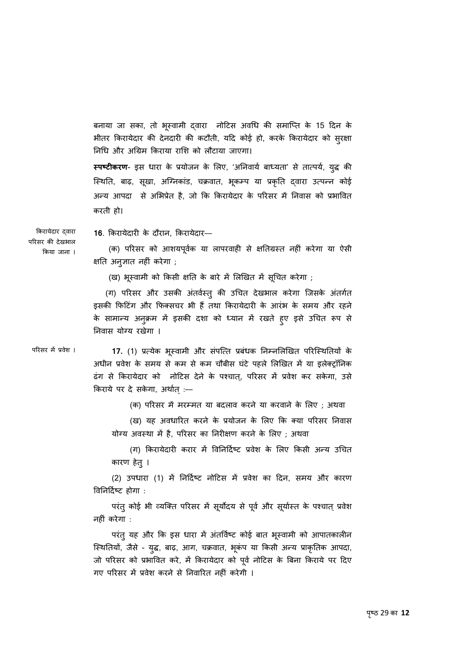बनाया जा सका, तो भूस्वामी दवारा नोटिस अवधि की समाप्ति के 15 दिन के भीतर िकरायेदार की देनदारी की कटौती, यिद कोई हो, करके िकरायेदार को सरक्षा ु िनिध और अिग्रम िकराया रािश को लौटाया जाएगा।

**स्पष्टीकरण**- इस धारा के प्रयोजन के लिए, 'अनिवाये बाध्यता' से तात्पये, युद्ध की स्थिति, बाढ़, सूखा, अग्निकाड, चक्रवात, भूकम्प या प्रकृति द्वारा उत्पन्न कोई अन्य आपदा से अभिप्रेत है, जो कि किरायेदार के परिसर में निवास को प्रभावित करती हो।

िकरायेदार ɮवारा पिरसर की देखभाल िकया जाना ।

**16**. िकरायेदारी के दौरान, िकरायेदार––

 (क) पिरसर को आशयपवूकर् या लापरवाही से क्षितग्रèत नहीं करेगा या ऐसी क्षित अनु ज्ञात नहीं करेगा ;

(ख) भूस्वामी को किसी क्षति के बारे में लिखित में सूचित करेगा ;

(ग) परिसर और उसकी अंतर्वस्त् की उचित देखभाल करेगा जिसके अंतर्गत इसकी फिटिंग और फिक्सचर भी हैं तथा किरायेदारी के आरंभ के समय और रहने के सामान्य अनुक्रम में इसकी दशा को ध्यान में रखते हुए इसे उचित रूप से िनवास योग्य रखेगा ।

परिसर में प्रवेश । **17.** (1) प्रत्येक भूस्वामी और संपत्ति प्रबंधक निम्नलिखित परिस्थितियों के अधीन प्रवेश के समय से कम से कम चौबीस घंटे पहले लिखित में या इलेक्ट्रॉनिक ढंग से किरायेदार को नोटिस देने के पश्चात्, परिसर में प्रवेश कर सकेगा, उसे िकराये पर दे सकेगा, अथार्त्:––

(क) परिसर में मरम्मत या बदलाव करने या करवाने के लिए ; अथवा

(ख) यह अवधािरत करने के प्रयोजन के िलए िक क्या पिरसर िनवास योग्य अवस्था में है, परिसर का निरीक्षण करने के लिए ; अथवा

(ग) किरायेदारी करार में विनिर्दिष्ट प्रवेश के लिए किसी अन्य उचित कारण हेतु।

(2) उपधारा (1) में निर्दिष्ट नोटिस में प्रवेश का दिन, समय और कारण िविनिदर्çट होगा :

परंतु कोई भी व्यक्ति परिसर में सूर्योदय से पूर्व और सूर्यास्त के पश्चात् प्रवेश नहीं करेगा :

परंतु यह और कि इस धारा में अंतविष्ट कोई बात भूस्वामी को आपातकालीन स्थितियो, जैसे - युद्ध, बाढ़, आग, चक्रवात, भूकप या किसी अन्य प्राकृतिक आपदा, जो परिसर को प्रभावित करे, में किरायेदार को पूर्व नोटिस के बिना किराये पर दिए गए परिसर में प्रवेश करने से निवारित नहीं करेगी ।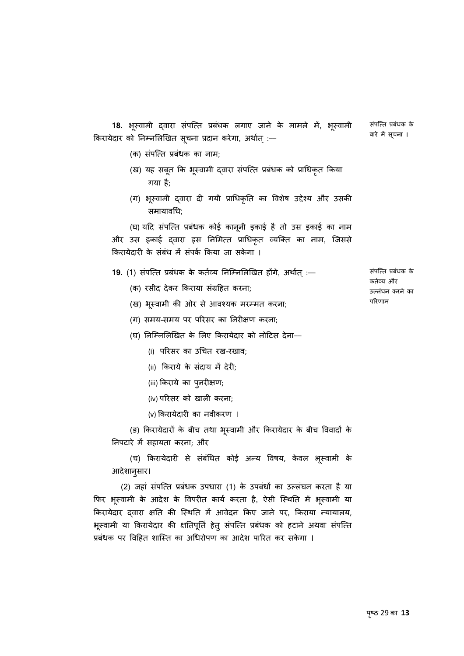**18.** भूस्वामी द्**वारा सपत्ति प्रबंधक लगाए जाने के मामले मे**, भूस्वामी ू किरायेदार को निम्नलिखित सूचना प्रदान करेगा, अथोत् :—

संपत्ति प्रबंधक के बारे मे सूचना ।

- (क) संपत्ति प्रबंधक का नाम;
- (ख) यह सबूत कि भूस्वामी द्वारा सपत्ति प्रबंधक को प्राधिकृत किया गया है;
- (ग) भूस्वामी द्वारा दी गयी प्राधिकृति का विशेष उद्देश्य और उसकी समायाविध;

(घ) यदि सपत्ति प्रबंधक कोई कानूनी इकाई है तो उस इकाई का नाम और उस इकाई दवारा इस निमित्त प्राधिकृत व्यक्ति का नाम, जिससे किरायेदारी के संबंध में संपर्क किया जा सकेगा ।

- 19. (1) संपत्ति प्रबंधक के कर्तव्य निम्निलिखित होंगे, अर्थात :-
	- (क) रसीद देकर किराया संग्रहित करना;
	- (ख) भूस्वामी की ओर से आवश्यक मरम्मत करना;
	- (ग) समय-समय पर पिरसर का िनरीक्षण करना;

(घ) निम्निलिखित के लिए किरायेदार को नोटिस देना––

- (i) पिरसर का उिचत रख-रखाव;
- (ii) किराये के संदाय में देरी;
- (iii) किराये का पुनरीक्षण;
- (iv) पिरसर को खाली करना;
- (v) िकरायेदारी का नवीकरण ।

(ङ) किरायेदारों के बीच तथा भूस्वामी और किरायेदार के बीच विवादों के निपटारे में सहायता करना; और

(च) किरायेदारी से सर्बांधेत कोई अन्य विषय, केवल भूस्वामी के आदेशानु सार।

(2) जहां संपत्ति प्रबंधक उपधारा (1) के उपबंधों का उल्लंघन करता है या फिर भूस्वामी के आदेश के विपरीत कार्य करता है, ऐसी स्थिति में भूस्वामी या किरायेदार दवारा क्षति की स्थिति में आवेदन किए जाने पर, किराया न्यायालय, भूस्वामी या किरायेदार की क्षतिपूर्ति हेतु सपत्ति प्रबंधक को हटाने अथवा सपत्ति प्रबंधक पर विहित शास्ति का अधिरोपण का आदेश पारित कर सकेगा ।

संपत्ति प्रबंधक के कर्तव्य और उãलंघन करने का पिरणाम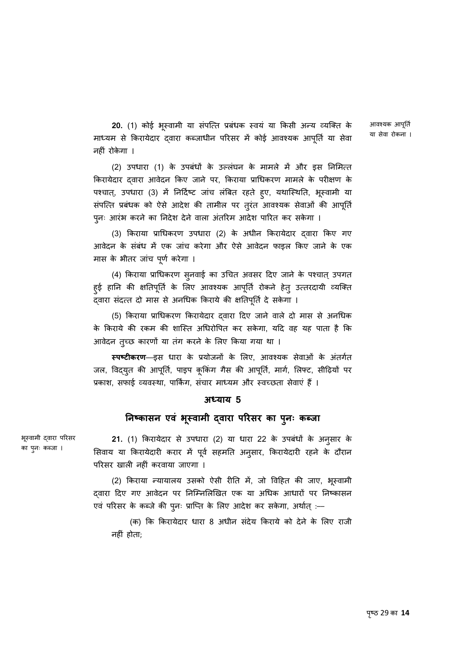**20.** (1) कोई भूस्वामी या सर्पात्ते प्रबंधक स्वयं या किसी अन्य व्यक्ति के माध्यम से किरायेदार द्वारा कब्जाधीन परिसर में कोई आवश्यक आपूर्ति या सेवा नहीं रोकेगा ।

आवश्यक आपूर्ति या सेवा रोकना ।

(2) उपधारा (1) के उपबंधों के उल्लंघन के मामले में और इस निमित्त िकरायेदार ɮवारा आवेदन िकए जाने पर, िकराया प्रािधकरण मामले के परीक्षण के पश्चात्, उपधारा (3) में निर्दिष्ट जाच लबित रहते हुए, यथास्थिति, भूस्वामी या सर्पात्त प्रबंधक को ऐसे आदेश की तामील पर तुरत आवश्यक सेवाओं की आपूर्ति पनः ु आरंभ करने का िनदेश देने वाला अंतिरम आदेश पािरत कर सकेगा ।

(3) किराया प्राधिकरण उपधारा (2) के अधीन किरायेदार दवारा किए गए आवेदन के संबंध में एक जांच करेगा और ऐसे आवेदन फाइल किए जाने के एक मास के भीतर जांच पूर्ण करेगा ।

(4) किराया प्राधिकरण सुनवाई का उचित अवसर दिए जाने के पश्चात् उपगत हुई हानि की क्षतिपूर्ति के लिए आवश्यक आपूर्ति रोकने हेतु उत्तरदायी व्यक्ति दवारा संदत्त दो मास से अनधिक किराये की क्षतिपूर्ति दे सकेगा ।

(5) िकराया प्रािधकरण िकरायेदार ɮवारा िदए जाने वाले दो मास से अनिधक के िकराये की रकम की शािèत अिधरोिपत कर सकेगा, यिद वह यह पाता है िक आवेदन तुच्छ कारणों या तंग करने के लिए किया गया था ।

**स्पष्टीकरण**––इस धारा के प्रयोजनों के लिए, आवश्यक सेवाओं के अंतर्गत जल, विद्युत की आपूर्ति, पाइप कूकिंग गैस की आपूर्ति, मार्ग, लिफ्ट, सीढ़ियों पर प्रकाश, सफाई व्यवस्था, पार्किंग, संचार माध्यम और स्वच्छता सेवाएं हैं ।

#### **अÚयाय 5**

#### **िनçकासन एवं भèवामी ू ɮवारा पिरसर का पु नः कÞजा**

भूस्वामी द्वारा परिसर का पुनः कब्जा ।

**21.** (1) किरायेदार से उपधारा (2) या धारा 22 के उपबधों के अनुसार के सिवाय या किरायेदारी करार में पूर्व सहमति अनुसार, किरायेदारी रहने के दौरान पिरसर खाली नहीं करवाया जाएगा ।

(2) किराया न्यायालय उसको ऐसी रीति मे, जो विहित की जाए, भूस्वामी दवारा दिए गए आवेदन पर निम्निलिखित एक या अधिक आधारों पर निष्कासन एवं परिसर के कब्जे की पुनः प्राप्ति के लिए आदेश कर सकेगा, अथोत् :—

(क) कि किरायेदार धारा 8 अधीन संदेय किराये को देने के लिए राजी नहीं होता;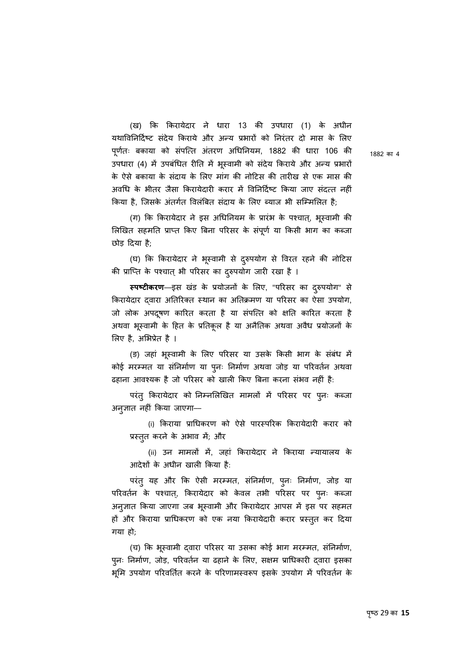(ख) िक िकरायेदार ने धारा 13 की उपधारा (1) के अधीन यथाविनिर्दिष्ट संदेय किराये और अन्य प्रभारों को निरंतर दो मास के लिए पूर्णतः बकाया को संपत्ति अंतरण अधिनियम, 1882 की धारा 106 की उपधारा (4) में उपबंधित रीति में भूस्वामी को सदेय किराये और अन्य प्रभारो के ऐसे बकाया के सदायं के िलए मांग की नोिटस की तारीख से एक मास की अवधि के भीतर जैसा किरायेदारी करार में विनिर्दिष्ट किया जाए संदत्त नहीं किया है, जिसके अंतर्गत विलंबित संदाय के लिए ब्याज भी सम्मिलित है;

(ग) कि किरायेदार ने इस अधिनियम के प्रारंभ के पश्चात्, भूस्वामी की लिखित सहमति प्राप्त किए बिना परिसर के सपूर्ण या किसी भाग का कब्जा छोड़ िदया है;

(घ) कि किरायेदार ने भूस्वामी से दुरुपयोग से विरत रहने की नोटिस की प्राप्ति के पश्चात् भी परिसर का दुरुपयोग जारी रखा है ।

**स्पष्टीकरण**––इस खंड के प्रयोजनों के लिए, "परिसर का दरुपयोग" से िकरायेदार ɮवारा अितिरक्त èथान का अितक्रमण या पिरसर का ऐसा उपयोग, जो लोक अपद्र्षण कारित करता है या संपत्ति को क्षति कारित करता है अथवा भूस्वामी के हित के प्रतिकूल है या अनैतिक अथवा अवैध प्रयोजनों के िलए है, अिभप्रेत है ।

(ङ) जहां भूस्वामी के लिए परिसर या उसके किसी भाग के सबध मे कोई मरम्मत या सनिर्माण या पुनः निर्माण अथवा जोड़ या परिवर्तन अथवा ढहाना आवश्यक है जो परिसर को खाली किए बिना करना संभव नहीं है:

परंतु किरायेदार को निम्नलिखित मामलों में परिसर पर पुनः कब्जा अनु ज्ञात नहीं िकया जाएगा––

(i) िकराया प्रािधकरण को ऐसे पारèपिरक िकरायेदारी करार को प्रस्तुत करने के अभाव में; और

(ii) उन मामलों में, जहां किरायेदार ने किराया न्यायालय के आदेशɉ के अधीन खाली िकया है:

परंतु यह और कि ऐसी मरम्मत, सनिर्माण, पुनः निर्माण, जोड़ या परिवर्तन के पश्चात्, किरायेदार को केवल तभी परिसर पर पुनः कब्जा अनुज्ञात किया जाएगा जब भूस्वामी और किरायेदार आपस में इस पर सहमत हों और किराया प्राधिकरण को एक नया किरायेदारी करार प्रस्तुत कर दिया गया हो;

(च) कि भूस्वामी द्वारा परिसर या उसका कोई भाग मरम्मत, सनिर्माण, पुनः निर्माण, जोड़, परिवर्तन या ढहाने के लिए, सक्षम प्राधिकारी द्वारा इसका भूमि उपयोग परिवर्तित करने के परिणामस्वरूप इसके उपयोग में परिवर्तन के

1882 का 4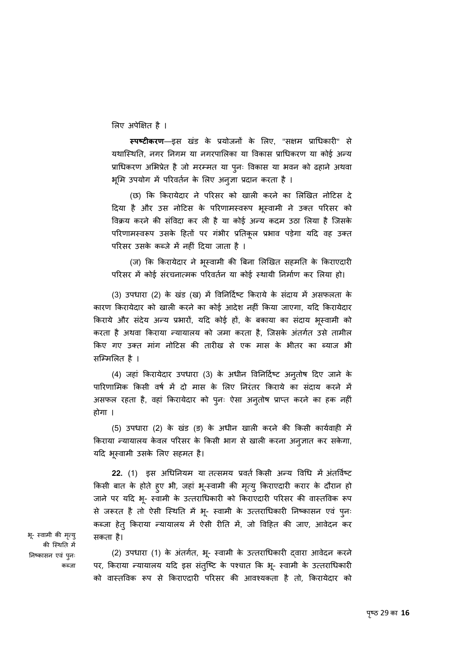िलए अपेिक्षत है ।

**èपçटीकरण**––इस खडं के प्रयोजनɉ के िलए, "सक्षम प्रािधकारी" से यथास्थिति, नगर निगम या नगरपालिका या विकास प्राधिकरण या कोई अन्य प्राधिकरण अभिप्रेत है जो मरम्मत या पुनः विकास या भवन को ढहाने अथवा भूमि उपयोग में परिवर्तन के लिए अनुज्ञा प्रदान करता है ।

(छ) िक िकरायेदार ने पिरसर को खाली करने का िलिखत नोिटस दे दिया है और उस नोटिस के परिणामस्वरूप भूस्वामी ने उक्त परिसर को विक्रय करने की संविदा कर ली है या कोई अन्य कदम उठा लिया है जिसके परिणामस्वरूप उसके हितों पर गंभीर प्रतिकूल प्रभाव पड़ेगा यदि वह उक्त परिसर उसके कब्जे में नहीं दिया जाता है ।

(ज) कि किरायेदार ने भूस्वामी की बिना लिखित सहमति के किराएदारी परिसर में कोई संरचनात्मक परिवर्तन या कोई स्थायी निर्माण कर लिया हो।

(3) उपधारा (2) के खंड (ख) में विनिर्दिष्ट किराये के संदाय में असफलता के कारण िकरायेदार को खाली करने का कोई आदेश नहीं िकया जाएगा, यिद िकरायेदार किराये और सर्दय अन्य प्रभारो, यदि कोई हो, के बकाया का सदाय भूस्वामी को करता है अथवा किराया न्यायालय को जमा करता है, जिसके अंतर्गत उसे तामील िकए गए उक्त मांग नोिटस की तारीख से एक मास के भीतर का Þयाज भी सिàमिलत है ।

(4) जहां किरायेदार उपधारा (3) के अधीन विनिर्दिष्ट अनुतोष दिए जाने के पारिणामिक किसी वर्ष में दो मास के लिए निरंतर किराये का संदाय करने में असफल रहता है, वहां किरायेदार को पुनः ऐसा अनुतोष प्राप्त करने का हक नहीं होगा ।

(5) उपधारा (2) के खंड (ङ) के अधीन खाली करने की किसी कार्यवाही में किराया न्यायालय केवल परिसर के किसी भाग से खाली करना अनुज्ञात कर सकेगा, यदि भूस्वामी उसके लिए सहमत है।

22. (1) इस अधिनियम या तत्समय प्रवर्त किसी अन्य विधि में अंतर्विष्ट किसी बात के होते हुए भी, जहां भू-स्वामी की मृत्यु किराएदारी करार के दौरान हो जाने पर यदि भू- स्वामी के उत्तराधिकारी को किराएदारी परिसर की वास्तविक रूप से जरूरत है तो ऐसी स्थिति में भू- स्वामी के उत्तराधिकारी निष्कासन एवं पुनः ु कब्जा हेतु किराया न्यायालय में ऐसी रीति में, जो विहित की जाए, आवेदन कर सकता है।

भू- स्वामी की मृत्यु की स्थिति में निष्कासन एव पुनः कब्जा

(2) उपधारा (1) के अंतर्गत, भू- स्वामी के उत्तराधिकारी द्वारा आवेदन करने पर, किराया न्यायालय यदि इस संतुष्टि के पश्चात कि भू- स्वामी के उत्तराधिकारी को वाèतिवक Ǿप से िकराएदारी पिरसर की आवæयकता है तो, िकरायेदार को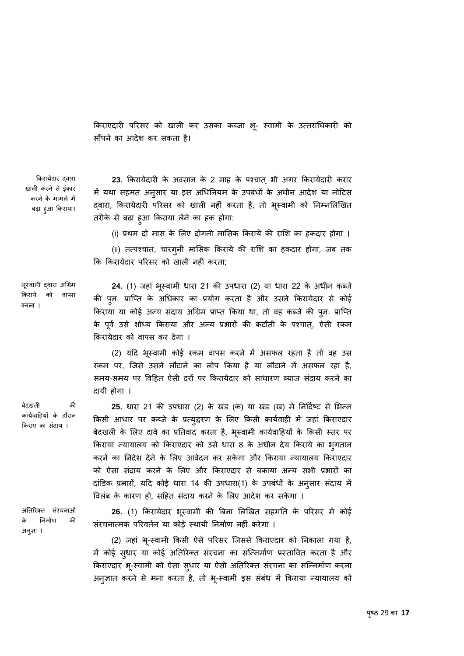किराएदारी परिसर को खाली कर उसका कब्जा भू- स्वामी के उत्तराधिकारी को सौंपने का आदेश कर सकता है।

िकरायेदार ɮवारा खाली करने से इंकार करने के मामले में बढ़ा हु आ िकराया।

23. किरायेदारी के अवसान के 2 माह के पश्चात् भी अगर किरायेदारी करार में यथा सहमत अनुसार या इस अधिनियम के उपबधों के अधीन आदेश या नोटिस द्वारा, किरायेदारी परिसर को खाली नहीं करता है, तो भूस्वामी को निम्नलिखित तरीके से बढ़ा हु आ िकराया लेने का हक होगा:

(i) प्रथम दो मास के िलए दोगनी मािसक िकराये की रािश का हकदार होगा ।

(ii) तत्पश्चात, चारगुनी मासिक किराये की राशि का हकदार होगा, जब तक िक िकरायेदार पिरसर को खाली नहीं करता;

भूस्वामी द्वारा अग्रिम िकराये को वापस करना ।

बेदखली की कार्यवाहियों के दौरान िकराए का संदाय ।

**24.** (1) जहां भूस्वामी धारा 21 की उपधारा (2) या धारा 22 के अधीन कब्जे की पुनः प्राप्ति के अधिकार का प्रयोग करता है और उसने किरायेदार से कोई किराया या कोई अन्य सदाय अग्रिम प्राप्त किया था, तो वह कब्जे की पुनः प्राप्ति के पूर्व उसे शोध्य किराया और अन्य प्रभारों की कटौती के पश्चात्, ऐसी रकम िकरायेदार को वापस कर देगा ।

(2) यदि भूस्वामी कोई रकम वापस करने में असफल रहता है तो वह उस रकम पर, जिसे उसने लौटाने का लोप किया है या लौटाने में असफल रहा है, समय-समय पर विहित ऐसी दरों पर किरायेदार को साधारण ब्याज संदाय करने का दायी होगा ।

25. धारा 21 की उपधारा (2) के खंड (क) या खंड (ख) में निर्दिष्ट से भिन्न किसी आधार पर कब्जे के प्रत्युद्धरण के लिए किसी कार्यवाही में जहां किराएदार बेदखली के लिए दावे का प्रतिवाद करता है, भूस्वामी कार्यवाहियों के किसी स्तर पर किराया न्यायालय को किराएदार को उसे धारा 8 के अधीन देय किराये का भगतान करने का िनदेश देने के िलए आवेदन कर सकेगा और िकराया Ûयायालय िकराएदार को ऐसा संदाय करने के लिए और किराएदार से बकाया अन्य सभी प्रभारों का दांडिक प्रभारो, यदि कोई धारा 14 की उपधारा(1) के उपबधों के अनुसार सदाय में िवलबं के कारण हो, सिहत सदायं करने के िलए आदेश कर सकेगा ।

अितिरक्त संरचनाओं के िनमार्ण की अनु ज्ञा ।

**26.** (1) किरायेदार भूस्वामी की बिना लिखित सहमति के परिसर में कोई संरचनात्मक परिवर्तन या कोई स्थायी निर्माण नहीं करेगा ।

(2) जहां भू-स्वामी किसी ऐसे परिसर जिससे किराएदार को निकाला गया है, में कोई सुधार या कोई अतिरिक्त संरचना का संन्निर्माण प्रस्तावित करता है और किराएदार भू-स्वामी को ऐसा सुधार या ऐसी अतिरिक्त सरचना का सन्निर्माण करना अनुज्ञात करने से मना करता है, तो भू-स्वामी इस सबध में किराया न्यायालय को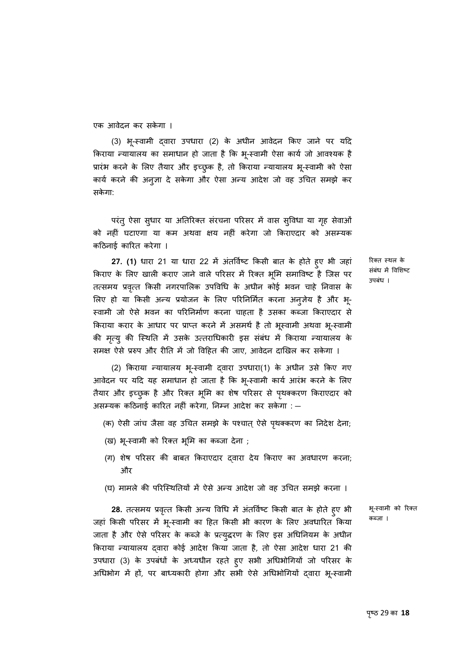एक आवेदन कर सकेगा ।

(3) भू-स्वामी द्वारा उपधारा (2) के अधीन आवेदन किए जाने पर यदि किराया न्यायालय का समाधान हो जाता है कि भू-स्वामी ऐसा कार्य जो आवश्यक है प्रारंभ करने के लिए तैयार और इच्छुक है, तो किराया न्यायालय भू-स्वामी को ऐसा कार्य करने की अनुज्ञा दे सकेगा और ऐसा अन्य आदेश जो वह उचित समझे कर सकेगा:

परंतु ऐसा सुधार या अतिरिक्त सरचना परिसर में वास सुविधा या गृह सेवाओं को नहीं घटाएगा या कम अथवा क्षय नहीं करेगा जो किराएदार को असम्यक किठनाई कािरत करेगा ।

**27. (1)** धारा 21 या धारा 22 में अंतर्विष्ट किसी बात के होते हुए भी जहां किराए के लिए खाली कराए जाने वाले परिसर में रिक्त भूमि समाविष्ट है जिस पर तत्समय प्रवृत्त किसी नगरपालिक उपविधि के अधीन कोई भवन चाहे निवास के लिए हो या किसी अन्य प्रयोजन के लिए परिनिर्मित करना अनुज़ेय है और भू-ू èवामी जो ऐसे भवन का पिरिनमार्ण करना चाहता है उसका कÞजा िकराएदार से किराया करार के आधार पर प्राप्त करने में असमथे हैं तो भूस्वामी अथवा भू-स्वामी की मृत्यु की स्थिति में उसके उत्तराधिकारी इस संबंध में किराया न्यायालय के समक्ष ऐसे प्ररुप और रीति में जो विहित की जाए, आवेदन दाखिल कर सकेगा ।

> (2) किराया न्यायालय भू-स्वामी द्वारा उपधारा(1) के अधीन उसे किए गए आवेदन पर यदि यह समाधान हो जाता है कि भू-स्वामी कार्य आरंभ करने के लिए तैयार और इच्छुक है और रिक्त भूमि का शेष परिसर से पृथक्करण किराएदार को असम्यक कठिनाई कारित नहीं करेगा, निम्न आदेश कर सकेगा : —

- (क) ऐसी जांच जैसा वह उचित समझे के पश्चात् ऐसे पृथक्करण का निदेश देना;
- (ख) भू-स्वामी को रिक्त भूमि का कब्जा देना ;
- (ग) शेष पिरसर की बाबत िकराएदार ɮवारा देय िकराए का अवधारण करना; और
- (घ) मामले की परिस्थितियों में ऐसे अन्य आदेश जो वह उचित समझे करना ।

**28.** तत्समय प्रवृत्त किसी अन्य विधि में अंतर्विष्ट किसी बात के होते हुए भी जहां किसी परिसर में भू-स्वामी का हित किसी भी कारण के लिए अवधारित किया जाता है और ऐसे परिसर के कब्जे के प्रत्युद्धरण के लिए इस अधिनियम के अधीन किराया न्यायालय दवारा कोई आदेश किया जाता है, तो ऐसा आदेश धारा 21 की उपधारा (3) के उपबंधों के अध्यधीन रहते हुए सभी अधिभोगियों जो परिसर के अधिभोग में हो, पर बाध्यकारी होगा और सभी ऐसे अधिभोगियो द्वारा भू-स्वामी

िरक्त èथल के संबंध में विशिष्ट उपबंध ।

भू-èवामी को िरक्त कब्जा ।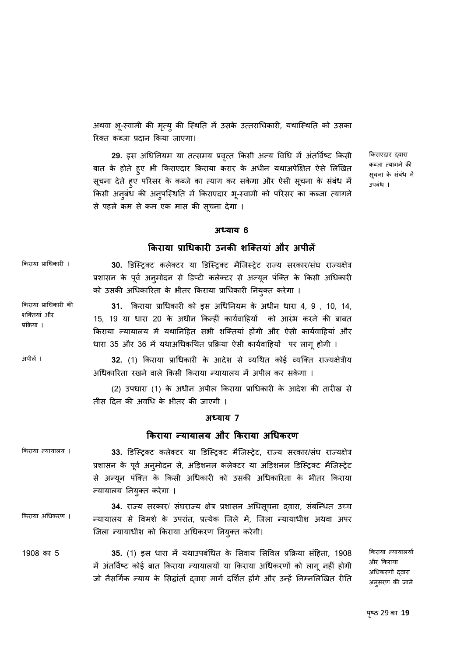अथवा भू-स्वामी की मृत्यु की स्थिति में उसके उत्तराधिकारी, यथास्थिति को उसका रिक्त कब्जा प्रदान किया जाएगा।

29. इस अधिनियम या तत्समय प्रवृत्त किसी अन्य विधि में अंतर्विष्ट किसी बात के होते हुए भी किराएदार किराया करार के अधीन यथाअपेक्षित ऐसे लिखित सूचना देते हुए परिसर के कब्जे का त्याग कर सकेगा और ऐसी सूचना के सबध मे किसी अनुबंध की अनुपस्थिति में किराएदार भू-स्वामी को परिसर का कब्जा त्यागने से पहले कम से कम एक मास की सूचना देगा ।

किराएदार दवारा कब्जा त्यागने की सूचना के सबध मे उपबंध ।

#### **अÚयाय 6**

#### **िकराया प्रािधकारी उनकी शिक्तयां और अपीलɅ**

किराया प्राधिकारी । **30. डिस्ट्रिक्ट कलेक्टर या डिस्ट्रिक्ट मैजिस्ट्रेट राज्य सरकार/संघ राज्यक्षेत्र** प्रशासन के पूर्व अनुमोदन से डिप्टी कलेक्टर से अन्यून पर्क्ति के किसी अधिकारी को उसकी अधिकारिता के भीतर किराया प्राधिकारी नियुक्त करेगा ।

> **31.** िकराया प्रािधकारी को इस अिधिनयम के अधीन धारा 4, 9 , 10, 14, 15, 19 या धारा 20 के अधीन किन्हीं कार्यवाहियों को आरंभ करने की बाबत किराया न्यायालय में यथानिहित सभी शक्तियां होंगी और ऐसी कार्यवाहियां और धारा 35 और 36 में यथाअधिकथित प्रक्रिया ऐसी कार्यवाहियों पर लागू होगी ।

अपीलɅ । **32.** (1) िकराया प्रािधकारी के आदेश से åयिथत कोई åयिक्त राÏयक्षेत्रीय अधिकारिता रखने वाले किसी किराया न्यायालय में अपील कर सकेगा ।

> (2) उपधारा (1) के अधीन अपील िकराया प्रािधकारी के आदेश की तारीख से तीस िदन की अविध के भीतर की जाएगी ।

#### **अÚयाय 7**

#### **िकराया Ûयायालय और िकराया अिधकरण**

किराया न्यायालय । **33. डिस्ट्रिक्ट कलेक्टर या डिस्ट्रिक्ट मैजिस्ट्रेट, राज्य सरकार/संघ राज्यक्षेत्र** प्रशासन के पूर्व अनुमोदन से, अड़िशनल कलेक्टर या अड़िशनल डिस्ट्रिक्ट मैजिस्ट्रेट से अन्यून पर्क्ति के किसी अधिकारी को उसकी अधिकारिता के भीतर किराया Ûयायालय िनयु क्त करेगा ।

किराया अधिकरण । **34.** राज्य सरकार/ सघराज्य क्षेत्र प्रशासन अधिसूचना द्**वारा, सबन्धित उच्च** न्यायालय से विमर्श के उपरांत, प्रत्येक जिले में, जिला न्यायाधीश अथवा अपर िजला Ûयायाधीश को िकराया अिधकरण िनयक्तु करेगी।

1908 का 5 **35.** (1) इस धारा में यथाउपबंधित के सिवाय सिविल प्रक्रिया संहिता, 1908 में अंतर्विष्ट कोई बात किराया न्यायालयों या किराया अधिकरणों को लागू नहीं होगी जो नैसर्गिक न्याय के सिद्धांतों दवारा मार्ग दर्शित होंगे और उन्हें निम्नलिखित रीति

किराया न्यायालयों और िकराया अधिकरणों दवारा अनु सरण की जाने

िकराया प्रािधकारी की शिक्तयां और प्रिक्रया ।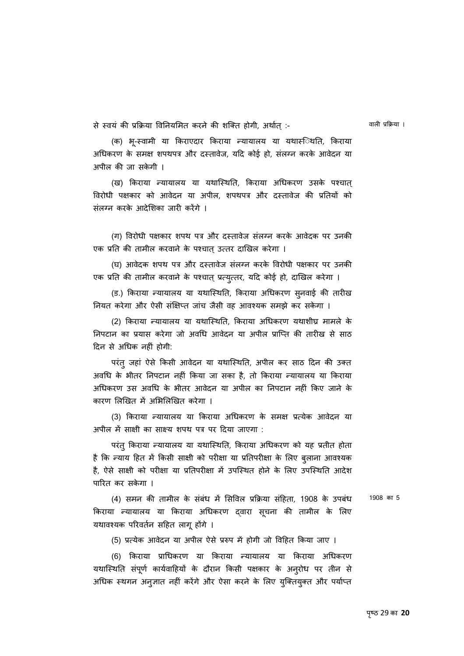से स्वयं की प्रक्रिया विनियमित करने की शक्ति होगी, अर्थात :-

वाली प्रिक्रया ।

(क) भू-स्वामी या किराएदार किराया न्यायालय या यथासंेथति, किराया अधिकरण के समक्ष शपथपत्र और दस्तावेज, यदि कोई हो, संलग्न करके आवेदन या अपील की जा सकेगी ।

(ख) किराया न्यायालय या यथास्थिति, किराया अधिकरण उसके पश्चात् विरोधी पक्षकार को आवेदन या अपील, शपथपत्र और दस्तावेज की प्रतियों को संलग्न करके आदेशिका जारी करेंगे ।

(ग) िवरोधी पक्षकार शपथ पत्र और दèतावेज संलग्न करके आवेदक पर उनकी एक प्रति की तामील करवाने के पश्चात् उत्तर दाखिल करेगा ।

(घ) आवेदक शपथ पत्र और दèतावेज संलग्न करके िवरोधी पक्षकार पर उनकी एक प्रति की तामील करवाने के पश्चात् प्रत्युत्तर, यदि कोई हो, दाखिल करेगा ।

(ड.) किराया न्यायालय या यथास्थिति, किराया अधिकरण स्**नवाई की तारी**ख नियत करेगा और ऐसी संक्षिप्त जांच जैसी वह आवश्यक समझे कर सकेगा ।

(2) किराया न्यायालय या यथास्थिति, किराया अधिकरण यथाशीघ्र मामले के िनपटान का प्रयास करेगा जो अविध आवेदन या अपील प्रािÜत की तारीख से साठ िदन से अिधक नहीं होगी:

परंतु जहां ऐसे किसी आवेदन या यथास्थिति, अपील कर साठ दिन की उक्त अविध के भीतर िनपटान नहीं िकया जा सका है, तो िकराया Ûयायालय या िकराया अिधकरण उस अविध के भीतर आवेदन या अपील का िनपटान नहीं िकए जाने के कारण लिखित में अभिलिखित करेगा ।

(3) किराया न्यायालय या किराया अधिकरण के समक्ष प्रत्येक आवेदन या अपील में साक्षी का साक्ष्य शपथ पत्र पर दिया जाएगा :

परंतु किराया न्यायालय या यथास्थिति, किराया अधिकरण को यह प्रतीत होता है कि न्याय हित में किसी साक्षी को परीक्षा या प्रतिपरीक्षा के लिए बुलाना आवश्यक है, ऐसे साक्षी को परीक्षा या प्रतिपरीक्षा में उपस्थित होने के लिए उपस्थिति आदेश पािरत कर सकेगा ।

(4) समन की तामील के संबंध में सिविल प्रक्रिया संहिता. 1908 के उपबंध किराया न्यायालय या किराया अधिकरण द्वारा सूचना की तामील के लिए यथावश्यक परिवर्तन सहित लागू होंगे ।

1908 का 5

(5) प्रत्येक आवेदन या अपील ऐसे प्ररुप में होगी जो विहित किया जाए ।

(6) किराया प्राधिकरण या किराया न्यायालय या किराया अधिकरण यथास्थिति संपूर्ण कार्यवाहियों के दौरान किसी पक्षकार के अनुरोध पर तीन से अधिक स्थगन अन् ज्ञात नहीं करेंगे और ऐसा करने के लिए युक्तियुक्त और पर्याप्त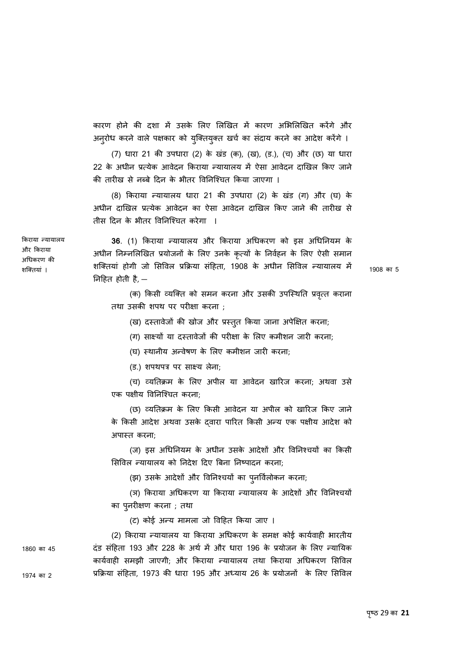कारण होने की दशा में उसके लिए लिखित में कारण अभिलिखित करेंगे और अनुरोध करने वाले पक्षकार को युक्तियुक्त खर्च का सदाय करने का आदेश करेंगे ।

(7) धारा 21 की उपधारा (2) के खडं (क), (ख), (ड.), (च) और (छ) या धारा 22 के अधीन प्रत्येक आवेदन किराया न्यायालय में ऐसा आवेदन दाखिल किए जाने की तारीख से नब्बे दिन के भीतर विनिश्चित किया जाएगा ।

(8) किराया न्यायालय धारा 21 की उपधारा (2) के खंड (ग) और (घ) के अधीन दािखल प्र×येक आवेदन का ऐसा आवेदन दािखल िकए जाने की तारीख से तीस िदन के भीतर िविनिæचत करेगा ।

**36**. (1) िकराया Ûयायालय और िकराया अिधकरण को इस अिधिनयम के अधीन निम्नलिखित प्रयोजनों के लिए उनके कृत्यों के निर्वहन के लिए ऐसी समान शक्तियां होगी जो सिविल प्रक्रिया संहिता, 1908 के अधीन सिविल न्यायालय में िनिहत होती है, —

1908 का 5

(क) किसी व्यक्ति को समन करना और उसकी उपस्थिति प्रवृत्त कराना तथा उसकी शपथ पर परीक्षा करना ;

(ख) दस्तावेजों की खोज और प्रस्तुत किया जाना अपेक्षित करना;

(ग) साक्ष्यों या दस्तावेजों की परीक्षा के लिए कमीशन जारी करना;

(घ) स्थानीय अन्वेषण के लिए कमीशन जारी करना;

(ड.) शपथपत्र पर साêय लेना;

(च) åयितक्रम के िलए अपील या आवेदन खािरज करना; अथवा उसे एक पक्षीय िविनिæचत करना;

(छ) åयितक्रम के िलए िकसी आवेदन या अपील को खािरज िकए जाने के किसी आदेश अथवा उसके दवारा पारित किसी अन्य एक पक्षीय आदेश को अपाèत करना;

(ज) इस अधिनियम के अधीन उसके आदेशों और विनिश्चयों का किसी सिविल न्यायालय को निदेश दिए बिना निष्पादन करना;

(झ) उसके आदेशों और विनिश्चयों का पुनर्विलोकन करना;

(ञ) किराया अधिकरण या किराया न्यायालय के आदेशों और विनिश्चयों का पुनरीक्षण करना ; तथा

(ट) कोई अन्य मामला जो विहित किया जाए ।

(2) किराया न्यायालय या किराया अधिकरण के समक्ष कोई कार्यवाही भारतीय दंड संहिता 193 और 228 के अर्थ में और धारा 196 के प्रयोजन के लिए न्यायिक कार्यवाही समझी जाएगी; और किराया न्यायालय तथा किराया अधिकरण सिविल प्रक्रिया संहिता, 1973 की धारा 195 और अध्याय 26 के प्रयोजनों के लिए सिविल

और िकराया अिधकरण की शिक्तयां ।

किराया न्यायालय

1974 का 2

1860 का 45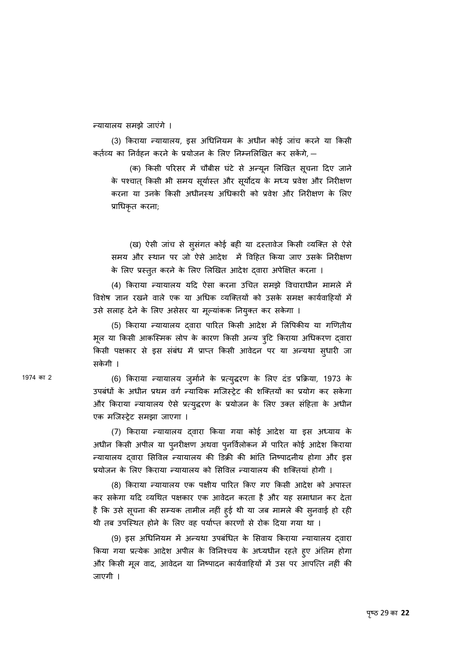Ûयायालय समझे जाएंगे ।

(3) किराया न्यायालय, इस अधिनियम के अधीन कोई जांच करने या किसी कर्तव्य का निर्वहन करने के प्रयोजन के लिए निम्नलिखित कर सकेंगे, —

(क) किसी परिसर में चौबीस घटे से अन्यून लिखित सूचना दिए जाने के पश्चात् किसी भी समय सूर्यास्त और सूर्योदय के मध्य प्रवेश और निरीक्षण करना या उनके किसी अधीनस्थ अधिकारी को प्रवेश और निरीक्षण के लिए प्रािधकृत करना;

(ख) ऐसी जांच से सुसंगत कोई बही या दस्तावेज किसी व्यक्ति से ऐसे समय और स्थान पर जो ऐसे आदेश में विहित किया जाए उसके निरीक्षण के लिए प्रस्तुत करने के लिए लिखित आदेश द्वारा अपेक्षित करना ।

(4) किराया न्यायालय यदि ऐसा करना उचित समझे विचाराधीन मामले में विशेष ज्ञान रखने वाले एक या अधिक व्यक्तियों को उसके समक्ष कार्यवाहियों में उसे सलाह देने के लिए असेसर या मूल्यांकक नियुक्त कर सकेगा ।

(5) किराया न्यायालय दवारा पारित किसी आदेश में लिपिकीय या गणितीय भूल या किसी आकस्मिक लोप के कारण किसी अन्य त्र्टि किराया अधिकरण दवारा किसी पक्षकार से इस सबंध में प्राप्त किसी आवेदन पर या अन्यथा सुधारी जा सकेगी ।

1974 का 2 (6) किराया न्यायालय जुर्माने के प्रत्युद्धरण के लिए दंड प्रक्रिया, 1973 के उपबंधों के अधीन प्रथम वर्ग न्यायिक मजिस्ट्रेट की शक्तियों का प्रयोग कर सकेगा और किराया न्यायालय ऐसे प्रत्युद्धरण के प्रयोजन के लिए उक्त सहिता के अधीन एक मिजèट्रेट समझा जाएगा ।

> (7) किराया न्यायालय दवारा किया गया कोई आदेश या इस अध्याय के अधीन किसी अपील या पुनरीक्षण अथवा पुनर्विलोकन में पारित कोई आदेश किराया न्यायालय दवारा सिविल न्यायालय की डिक्री की भांति निष्पादनीय होगा और इस प्रयोजन के लिए किराया न्यायालय को सिविल न्यायालय की शक्तियां होगी ।

> (8) किराया न्यायालय एक पक्षीय पारित किए गए किसी आदेश को अपास्त कर सकेगा यिद åयिथत पक्षकार एक आवेदन करता है और यह समाधान कर देता है कि उसे सूचना की सम्यक तामील नहीं हुई थी या जब मामले की सुनवाई हो रही थी तब उपस्थित होने के लिए वह पर्याप्त कारणों से रोक दिया गया था ।

> (9) इस अधिनियम में अन्यथा उपबंधित के सिवाय किराया न्यायालय दवारा किया गया प्रत्येक आदेश अपील के विनिश्चय के अध्यधीन रहते हुए अतिम होगा और किसी मूल वाद, आवेदन या निष्पादन कार्यवाहियों में उस पर आपत्ति नहीं की जाएगी ।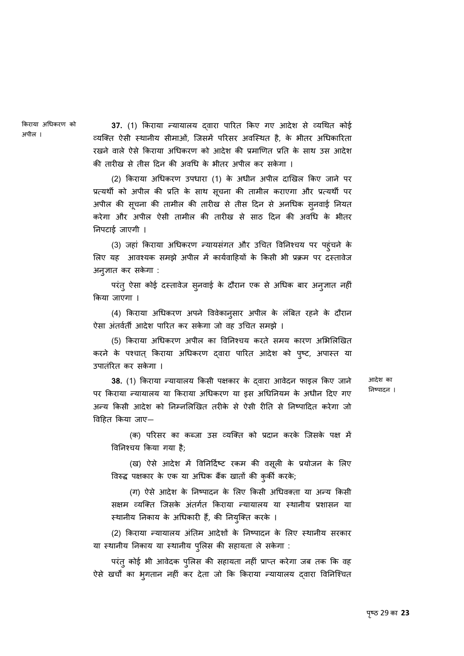िकराया अिधकरण को अपील ।

**37.** (1) किराया न्यायालय दवारा पारित किए गए आदेश से व्यथित कोई व्यक्ति ऐसी स्थानीय सीमाओं, जिसमें परिसर अवस्थित है, के भीतर अधिकारिता रखने वाले ऐसे िकराया अिधकरण को आदेश की प्रमािणत प्रित के साथ उस आदेश की तारीख से तीस िदन की अविध के भीतर अपील कर सकेगा ।

(2) िकराया अिधकरण उपधारा (1) के अधीन अपील दािखल िकए जाने पर प्रत्यथी को अपील की प्रति के साथ सूचना की तामील कराएगा और प्रत्यथी पर अपील की सूचना की तामील की तारीख से तीस दिन से अनधिक सुनवाई नियत करेगा और अपील ऐसी तामील की तारीख से साठ िदन की अविध के भीतर िनपटाई जाएगी ।

(3) जहां किराया अधिकरण न्यायसंगत और उचित विनिश्चय पर पहुंचने के लिए यह आवश्यक समझे अपील में कार्यवाहियों के किसी भी प्रक्रम पर दस्तावेज अनु ज्ञात कर सकेगा :

परंतु ऐसा कोई दस्तावेज सुनवाई के दौरान एक से अधिक बार अनुज्ञात नहीं िकया जाएगा ।

(4) किराया अधिकरण अपने विवेकानुसार अपील के लबित रहने के दौरान ऐसा अंतर्वर्ती आदेश पारित कर सकेगा जो वह उचित समझे ।

(5) किराया अधिकरण अपील का विनिश्चय करते समय कारण अभिलिखित करने के पश्चात् किराया अधिकरण द्वारा पारित आदेश को पुष्ट, अपास्त या उपातंिरत कर सकेगा ।

38. (1) किराया न्यायालय किसी पक्षकार के दवारा आवेदन फाइल किए जाने पर किराया न्यायालय या किराया अधिकरण या इस अधिनियम के अधीन दिए गए अन्य किसी आदेश को निम्नलिखित तरीके से ऐसी रीति से निष्पादित करेगा जो िविहत िकया जाए—

आदेश का िनçपादन ।

(क) परिसर का कब्जा उस व्यक्ति को प्रदान करके जिसके पक्ष में िविनæचय िकया गया है;

(ख) ऐसे आदेश में विनिदिष्ट रकम की वसूली के प्रयोजन के लिए विरुद्ध पक्षकार के एक या अधिक बैंक खातों की कुर्की करके;

(ग) ऐसे आदेश के निष्पादन के लिए किसी अधिवक्ता या अन्य किसी सक्षम व्यक्ति जिसके अंतर्गत किराया न्यायालय या स्थानीय प्रशासन या स्थानीय निकाय के अधिकारी हैं, की नियुक्ति करके ।

(2) किराया न्यायालय अंतिम आदेशों के निष्पादन के लिए स्थानीय सरकार या स्थानीय निकाय या स्थानीय पुलिस की सहायता ले सकेगा :

परंतु कोई भी आवेदक पुलिस की सहायता नहीं प्राप्त करेगा जब तक कि वह ऐसे खर्चों का भृगतान नहीं कर देता जो कि किराया न्यायालय दवारा विनिश्चित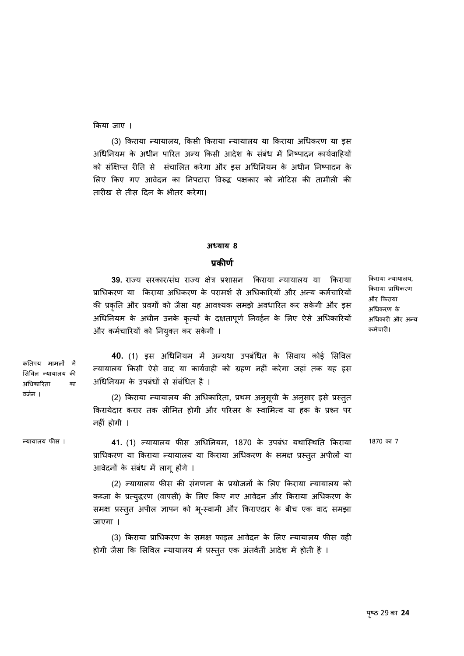िकया जाए ।

(3) किराया न्यायालय, किसी किराया न्यायालय या किराया अधिकरण या इस अधिनियम के अधीन पारित अन्य किसी आदेश के संबंध में निष्पादन कार्यवाहियों को संक्षिप्त रीति से संचालित करेगा और इस अधिनियम के अधीन निष्पादन के लिए किए गए आवेदन का निपटारा विरुद्ध पक्षकार को नोटिस की तामीली की तारीख से तीस िदन के भीतर करेगा।

#### **अÚयाय 8**

#### **प्रकीणर्**

**39.** राज्य सरकार/संघ राज्य क्षेत्र प्रशासन किराया न्यायालय या किराया प्राधिकरण या किराया अधिकरण के परामर्श से अधिकारियों और अन्य कर्मचारियों की प्रकृति और प्रवर्गों को जैसा यह आवश्यक समझे अवधारित कर सकेगी और इस अधिनियम के अधीन उनके कृत्यों के दक्षतापूर्ण निवर्हन के लिए ऐसे अधिकारियों और कर्मचारियों को नियुक्त कर सकेगी ।

किराया न्यायालय, िकराया प्रािधकरण और िकराया अिधकरण के अधिकारी और अन्य कर्मचारी।

**40.** (1) इस अधिनियम में अन्यथा उपबंधित के सिवाय कोई सिविल ल्यायालय किसी ऐसे वाद या कार्यवाही को ग्रहण नहीं करेगा जहां तक यह इस अधिनियम के उपबंधों से संबंधित है ।

(2) किराया न्यायालय की अधिकारिता, प्रथम अनुसूची के अनुसार इसे प्रस्तुत किरायेदार करार तक सीमित होगी और परिसर के स्वामित्व या हक के प्रश्न पर नहीं होगी ।

वर्जन ।

कतिपय मामलों में सिविल न्यायालय की अिधकािरता का

Ûयायालय फीस । **41.** (1) Ûयायालय फीस अिधिनयम, 1870 के उपबंध यथािèथित िकराया प्राधिकरण या किराया न्यायालय या किराया अधिकरण के समक्ष प्रस्तुत अपीलो या आवेदनों के संबंध में लागू होंगे । 1870 का 7

> (2) न्यायालय फीस की संगणना के प्रयोजनों के लिए किराया न्यायालय को कब्जा के प्रत्युद्धरण (वापसी) के लिए किए गए आवेदन और किराया अधिकरण के समक्ष प्रस्तुत अपील ज्ञापन को भू-स्वामी और किराएदार के बीच एक वाद समझा जाएगा ।

> (3) िकराया प्रािधकरण के समक्ष फाइल आवेदन के िलए Ûयायालय फीस वही होगी जैसा कि सिविल न्यायालय में प्रस्तुत एक अतर्वती आदेश में होती है ।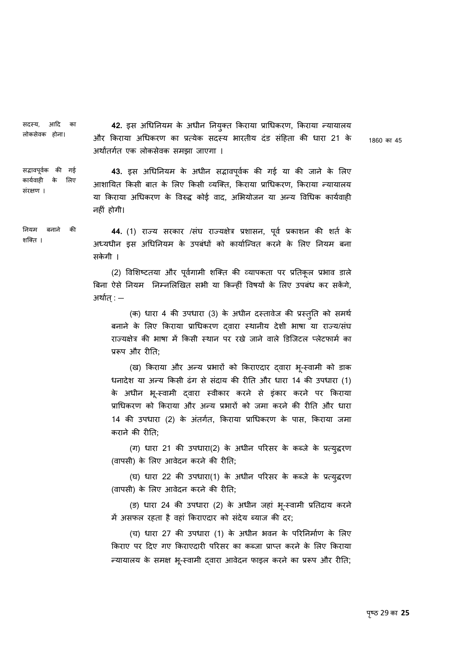सदस्य, आदि का लोकसेवक होना। **42.** इस अधिनियम के अधीन नियुक्त किराया प्राधिकरण, किराया न्यायालय और किराया अधिकरण का प्रत्येक सदस्य भारतीय दंड संहिता की धारा 21 के अथार्ंतगतर् एक लोकसेवक समझा जाएगा ।

1860 का 45

सद्भावपू वकर् की गई कार्यवाही के लिए संरक्षण । **43.** इस अधिनियम के अधीन सद्भावपूर्वक की गई या की जाने के लिए आशायित किसी बात के लिए किसी व्यक्ति. किराया प्राधिकरण, किराया न्यायालय या किराया अधिकरण के विरुद्ध कोई वाद, अभियोजन या अन्य विधिक कार्यवाही नहीं होगी।

िनयम बनाने की शिक्त ।

**44.** (1) राज्य सरकार /संघ राज्यक्षेत्र प्रशासन, पूर्व प्रकाशन की शर्त के अध्यधीन इस अधिनियम के उपबंधों को कार्यान्वित करने के लिए नियम बना सकेगी ।

(2) विशिष्टतया और पूर्वगामी शक्ति की व्यापकता पर प्रतिकूल प्रभाव डाले बिना ऐसे नियम निम्नलिखित सभी या किन्हीं विषयों के लिए उपबंध कर सकेंगे, अथार्त्: —

(क) धारा 4 की उपधारा (3) के अधीन दस्तावेज की प्रस्तुति को समर्थ बनाने के लिए किराया प्राधिकरण द्वारा स्थानीय देशी भाषा या राज्य/संघ राज्यक्षेत्र की भाषा में किसी स्थान पर रखे जाने वाले डिजिटल प्लेटफार्म का प्ररूप और रीति:

(ख) किराया और अन्य प्रभारों को किराएदार दवारा भू-स्वामी को डाक धनादेश या अन्य किसी ढंग से संदाय की रीति और धारा 14 की उपधारा (1) के अधीन भू-स्वामी द्वारा स्वीकार करने से इकार करने पर किराया प्राधिकरण को किराया और अन्य प्रभारों को जमा करने की रीति और धारा 14 की उपधारा (2) के अंतर्गत, किराया प्राधिकरण के पास, किराया जमा कराने की रीित;

(ग) धारा 21 की उपधारा(2) के अधीन परिसर के कब्जे के प्रत्युद्धरण (वापसी) के िलए आवेदन करने की रीित;

(घ) धारा 22 की उपधारा(1) के अधीन परिसर के कब्जे के प्रत्युद्धरण (वापसी) के िलए आवेदन करने की रीित;

(ङ) धारा 24 की उपधारा (2) के अधीन जहां भू-èवामी प्रितदाय करने में असफल रहता है वहां किराएदार को संदेय ब्याज की दर;

(च) धारा 27 की उपधारा (1) के अधीन भवन के पिरिनमार्ण के िलए किराए पर दिए गए किराएदारी परिसर का कब्जा प्राप्त करने के लिए किराया Ûयायालय के समक्ष भू-èवामी ɮवारा आवेदन फाइल करने का प्रǾप और रीित;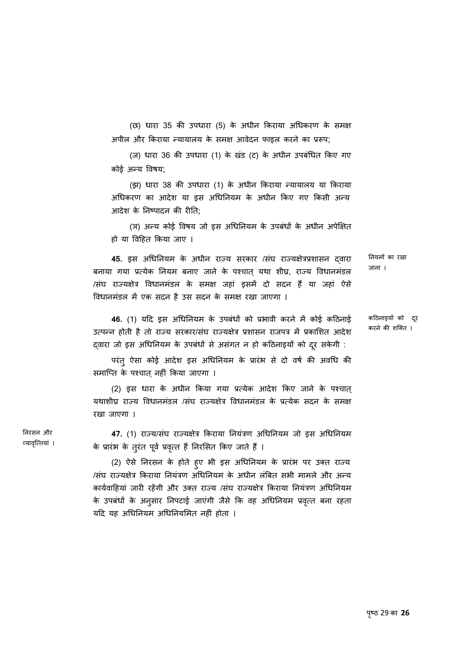(छ) धारा 35 की उपधारा (5) के अधीन िकराया अिधकरण के समक्ष अपील और किराया न्यायालय के समक्ष आवेदन फाइल करने का प्ररूप;

(ज) धारा 36 की उपधारा (1) के खडं (ट) के अधीन उपबंिधत िकए गए कोई अन्य विषय:

(झ) धारा 38 की उपधारा (1) के अधीन किराया न्यायालय या किराया अधिकरण का आदेश या इस अधिनियम के अधीन किए गए किसी अन्य आदेश के निष्पादन की रीति<sup>,</sup>

(ञ) अन्य कोई विषय जो इस अधिनियम के उपबंधों के अधीन अपेक्षित हो या िविहत िकया जाए ।

45. इस अधिनियम के अधीन राज्य सरकार /संघ राज्यक्षेत्रप्रशासन द्**वारा** बनाया गया प्रत्येक नियम बनाए जाने के पश्चात् यथा शीघ्र, राज्य विधानमंडल /संघ राज्यक्षेत्र विधानमंडल के समक्ष जहां इसमें दो सदन हैं या जहां ऐसे विधानमंडल में एक सदन है उस सदन के समक्ष रखा जाएगा । िनयमɉ का रखा जाना ।

46. (1) यदि इस अधिनियम के उपबंधों को प्रभावी करने में कोई कठिनाई उत्पन्न होती है तो राज्य सरकार/संघ राज्यक्षेत्र प्रशासन राजपत्र में प्रकाशित आदेश दवारा जो इस अधिनियम के उपबंधों से असंगत न हो कठिनाइयों को दूर सकेगी : किठनाइयɉ को दरू करने की शिक्त ।

परंत् ऐसा कोई आदेश इस अधिनियम के प्रारंभ से दो वर्ष की अवधि की समाप्ति के पश्चात नहीं किया जाएगा ।

(2) इस धारा के अधीन िकया गया प्र×येक आदेश िकए जाने के पæचात् यथाशीघ्र राज्य विधानमंडल /संघ राज्यक्षेत्र विधानमंडलं के प्रत्येक सदन के समक्ष रखा जाएगा ।

**47.** (1) राज्य/संघ राज्यक्षेत्र किराया नियंत्रण अधिनियम जो इस अधिनियम के प्रारंभ के तुरंत पूर्व प्रवृत्त है निरसित किए जाते हैं ।

(2) ऐसे निरसन के होते हुए भी इस अधिनियम के प्रारंभ पर उक्त राज्य /संघ राज्यक्षेत्र किराया नियंत्रण अधिनियम के अधीन लंबित सभी मामले और अन्य कार्यवाहियां जारी रहेंगी और उक्त राज्य /संघ राज्यक्षेत्र किराया नियंत्रण अधिनियम के उपबधों के अनुसार निपटाई जाएंगी जैसे कि वह अधिनियम प्रवृत्त बना रहता यदि यह अधिनियम अधिनियमित नहीं होता ।

िनरसन और व्यावृत्तियां ।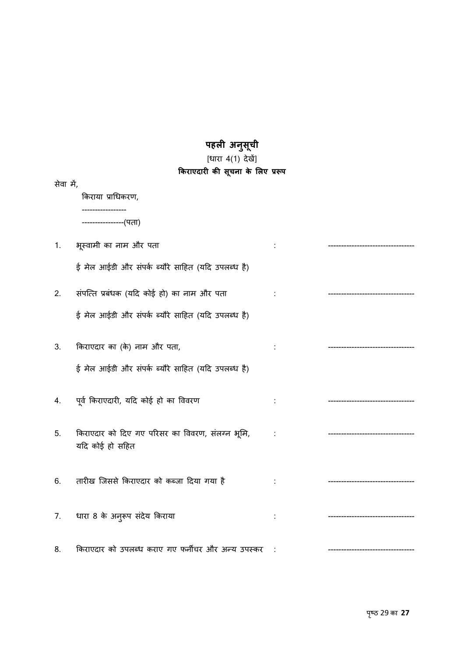#### **पहली अनु सची ू**

### [धारा 4(1) देखें]

|           | किराएदारी की सूचना के लिए प्ररूप                                   |  |  |  |  |  |
|-----------|--------------------------------------------------------------------|--|--|--|--|--|
| सेवा में, |                                                                    |  |  |  |  |  |
|           | किराया प्राधिकरण,                                                  |  |  |  |  |  |
|           | ----------------(पता)                                              |  |  |  |  |  |
| 1.        | भूस्वामी का नाम और पता                                             |  |  |  |  |  |
|           | ई मेल आईडी और संपर्क ब्यौरे साहित (यदि उपलब्ध है)                  |  |  |  |  |  |
| 2.        | संपत्ति प्रबंधक (यदि कोई हो) का नाम और पता                         |  |  |  |  |  |
|           | ई मेल आईडी और संपर्क ब्यौरे साहित (यदि उपलब्ध है)                  |  |  |  |  |  |
| 3.        | किराएदार का (के) नाम और पता,                                       |  |  |  |  |  |
|           | ई मेल आईडी और संपर्क ब्यौरे साहित (यदि उपलब्ध है)                  |  |  |  |  |  |
| 4.        | पूर्व किराएदारी, यदि कोई हो का विवरण                               |  |  |  |  |  |
| 5.        | किराएदार को दिए गए परिसर का विवरण, संलग्न भूमि,<br>यदि कोई हो सहित |  |  |  |  |  |
| 6.        | तारीख जिससे किराएदार को कब्जा दिया गया है                          |  |  |  |  |  |
| 7.        | धारा 8 के अनुरूप संदेय किराया                                      |  |  |  |  |  |
| 8.        | किराएदार को उपलब्ध कराए गए फर्नीचर और अन्य उपस्कर                  |  |  |  |  |  |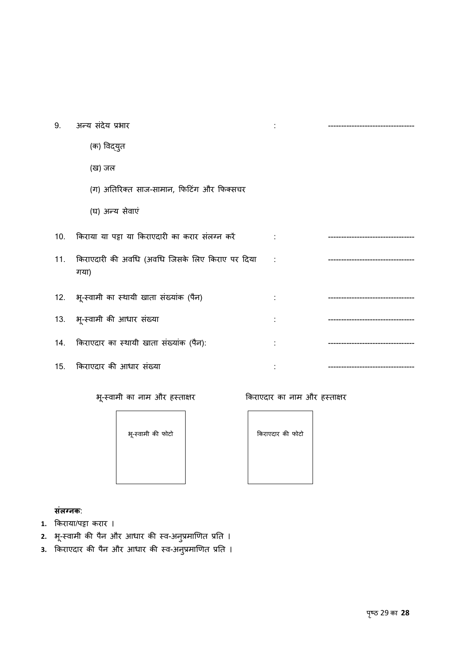| 9. | अन्य संदेय प्रभार                                           |            |  |
|----|-------------------------------------------------------------|------------|--|
|    | (क) विद्युत                                                 |            |  |
|    | (ख) जल                                                      |            |  |
|    | (ग) अतिरिक्त साज-सामान, फिटिंग और फिक्सचर                   |            |  |
|    | (घ) अन्य सेवाएं                                             |            |  |
|    | 10. किराया या पट्टा या किराएदारी का करार संलग्न करें        |            |  |
|    | 11. किराएदारी की अवधि (अवधि जिसके लिए किराए पर दिया<br>गया) | $\sim 100$ |  |
|    | 12. भू-स्वामी का स्थायी खाता संख्यांक (पैन)                 |            |  |
|    | 13. भू-स्वामी की आधार संख्या                                |            |  |

- 14. िकराएदार का èथायी खाता सख्ं यांक (पनै ): : ---------------------------------
- 15. िकराएदार की आधार संख्या : ---------------------------------

भू-स्वामी का नाम और हस्ताक्षर बाद कराएदार का नाम और हस्ताक्षर

भू-èवामी की फोटो



**सलग् ं नक**:

- **1.** िकराया/पट्टा करार ।
- **2.** भू-स्वामी की पैन और आधार की स्व-अनुप्रमाणित प्रति ।
- **3.** किराएदार की पैन और आधार की स्व-अनुप्रमाणित प्रति ।